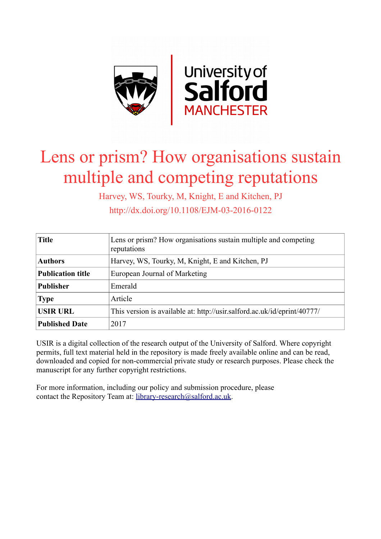

# Lens or prism? How organisations sustain multiple and competing reputations

Harvey, WS, Tourky, M, Knight, E and Kitchen, PJ http://dx.doi.org/10.1108/EJM-03-2016-0122

| <b>Title</b>             | Lens or prism? How organisations sustain multiple and competing<br>reputations |  |
|--------------------------|--------------------------------------------------------------------------------|--|
| <b>Authors</b>           | Harvey, WS, Tourky, M, Knight, E and Kitchen, PJ                               |  |
| <b>Publication title</b> | European Journal of Marketing                                                  |  |
| <b>Publisher</b>         | Emerald                                                                        |  |
| <b>Type</b>              | Article                                                                        |  |
| <b>USIR URL</b>          | This version is available at: http://usir.salford.ac.uk/id/eprint/40777/       |  |
| <b>Published Date</b>    | 2017                                                                           |  |

USIR is a digital collection of the research output of the University of Salford. Where copyright permits, full text material held in the repository is made freely available online and can be read, downloaded and copied for non-commercial private study or research purposes. Please check the manuscript for any further copyright restrictions.

For more information, including our policy and submission procedure, please contact the Repository Team at: [library-research@salford.ac.uk.](mailto:library-research@salford.ac.uk)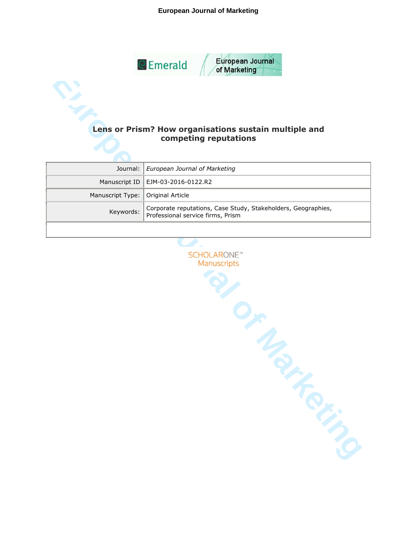## **European Journal of Marketing**



# **competing reputations**

|                                     | Journal:   European Journal of Marketing                                |
|-------------------------------------|-------------------------------------------------------------------------|
|                                     | Manuscript ID   EJM-03-2016-0122.R2                                     |
| Manuscript Type:   Original Article |                                                                         |
|                                     | Keywords: Corporate reputations, Case Study, Stakeholders, Geographies, |
|                                     |                                                                         |

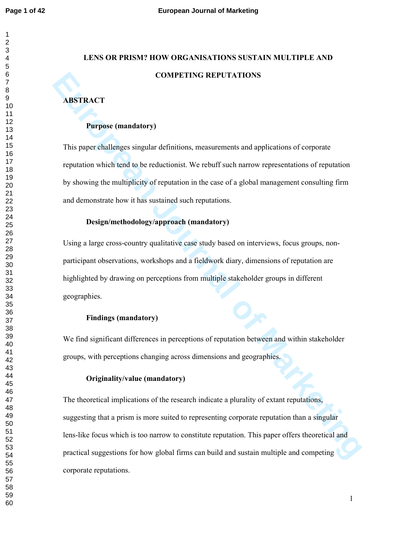# **LENS OR PRISM? HOW ORGANISATIONS SUSTAIN MULTIPLE AND COMPETING REPUTATIONS**

# **ABSTRACT**

#### **Purpose (mandatory)**

This paper challenges singular definitions, measurements and applications of corporate reputation which tend to be reductionist. We rebuff such narrow representations of reputation by showing the multiplicity of reputation in the case of a global management consulting firm and demonstrate how it has sustained such reputations.

# **Design/methodology/approach (mandatory)**

Using a large cross-country qualitative case study based on interviews, focus groups, nonparticipant observations, workshops and a fieldwork diary, dimensions of reputation are highlighted by drawing on perceptions from multiple stakeholder groups in different geographies.

# **Findings (mandatory)**

We find significant differences in perceptions of reputation between and within stakeholder groups, with perceptions changing across dimensions and geographies.

# **Originality/value (mandatory)**

**EXECT COMPETING REPUTATIONS**<br> **EUROPE COMPTET CONDITE CONDITE CONDITE CONDITIONS**<br> **EUROPETE CONDITE CONDITIONS**<br> **EUROPETE CONDITE CONDITION**<br> **EUROPETE CONDITE CONDITION**<br> **EUROPETE CONDITE CONDITION**<br> **EUROPETE CONDITE** The theoretical implications of the research indicate a plurality of extant reputations, suggesting that a prism is more suited to representing corporate reputation than a singular lens-like focus which is too narrow to constitute reputation. This paper offers theoretical and practical suggestions for how global firms can build and sustain multiple and competing corporate reputations.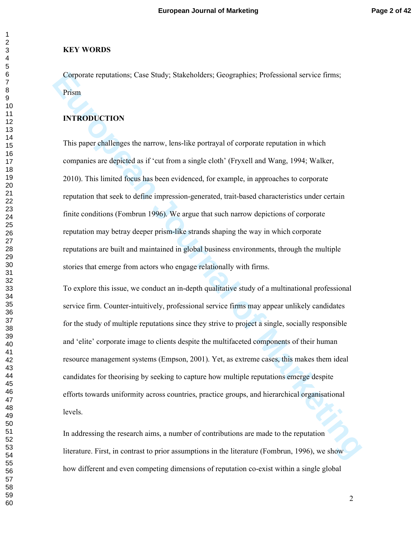#### **KEY WORDS**

Corporate reputations; Case Study; Stakeholders; Geographies; Professional service firms; Prism

#### **INTRODUCTION**

This paper challenges the narrow, lens-like portrayal of corporate reputation in which companies are depicted as if 'cut from a single cloth' (Fryxell and Wang, 1994; Walker, 2010). This limited focus has been evidenced, for example, in approaches to corporate reputation that seek to define impression-generated, trait-based characteristics under certain finite conditions (Fombrun 1996). We argue that such narrow depictions of corporate reputation may betray deeper prism-like strands shaping the way in which corporate reputations are built and maintained in global business environments, through the multiple stories that emerge from actors who engage relationally with firms.

Corporate reputations; Case Study; Stakeholders; Geographies; Professional service firms;<br>
Prism<br> **INTRODUCTION**<br> **This paper challenges the narrow**, lens-like portrayal of corporate reputation in which<br>
companies are depi To explore this issue, we conduct an in-depth qualitative study of a multinational professional service firm. Counter-intuitively, professional service firms may appear unlikely candidates for the study of multiple reputations since they strive to project a single, socially responsible and 'elite' corporate image to clients despite the multifaceted components of their human resource management systems (Empson, 2001). Yet, as extreme cases, this makes them ideal candidates for theorising by seeking to capture how multiple reputations emerge despite efforts towards uniformity across countries, practice groups, and hierarchical organisational levels.

In addressing the research aims, a number of contributions are made to the reputation literature. First, in contrast to prior assumptions in the literature (Fombrun, 1996), we show how different and even competing dimensions of reputation co-exist within a single global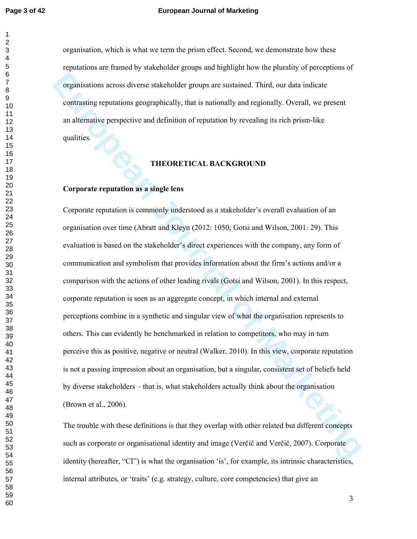#### **Page 3 of 42 European Journal of Marketing**

organisation, which is what we term the prism effect. Second, we demonstrate how these reputations are framed by stakeholder groups and highlight how the plurality of perceptions of organisations across diverse stakeholder groups are sustained. Third, our data indicate contrasting reputations geographically, that is nationally and regionally. Overall, we present an alternative perspective and definition of reputation by revealing its rich prism-like qualities.

#### **THEORETICAL BACKGROUND**

# **Corporate reputation as a single lens**

**European Solution Solution** across diverse stakeholder groups are sustained. Third, our data indicate<br>
contrasting reputations geographically, that is nationally and regionally. Overall, we present<br>
an alternative perspec Corporate reputation is commonly understood as a stakeholder's overall evaluation of an organisation over time (Abratt and Kleyn (2012: 1050; Gotsi and Wilson, 2001: 29). This evaluation is based on the stakeholder's direct experiences with the company, any form of communication and symbolism that provides information about the firm's actions and/or a comparison with the actions of other leading rivals (Gotsi and Wilson, 2001). In this respect, corporate reputation is seen as an aggregate concept, in which internal and external perceptions combine in a synthetic and singular view of what the organisation represents to others. This can evidently be benchmarked in relation to competitors, who may in turn perceive this as positive, negative or neutral (Walker, 2010). In this view, corporate reputation is not a passing impression about an organisation, but a singular, consistent set of beliefs held by diverse stakeholders – that is, what stakeholders actually think about the organisation (Brown et al., 2006).

The trouble with these definitions is that they overlap with other related but different concepts such as corporate or organisational identity and image (Verčič and Verčič, 2007). Corporate identity (hereafter, "CI") is what the organisation 'is', for example, its intrinsic characteristics, internal attributes, or 'traits' (e.g. strategy, culture, core competencies) that give an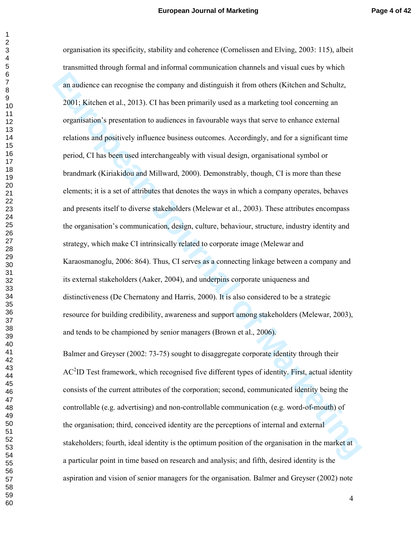an audience can recognise the company and distinguish it from others (Kitchen and Schulz, 2001, Kitchen et al., 2013). Cl has been primarily used as a marketing tool concerning an organisation's presentation to audiences organisation its specificity, stability and coherence (Cornelissen and Elving, 2003: 115), albeit transmitted through formal and informal communication channels and visual cues by which an audience can recognise the company and distinguish it from others (Kitchen and Schultz, 2001; Kitchen et al., 2013). CI has been primarily used as a marketing tool concerning an organisation's presentation to audiences in favourable ways that serve to enhance external relations and positively influence business outcomes. Accordingly, and for a significant time period, CI has been used interchangeably with visual design, organisational symbol or brandmark (Kiriakidou and Millward, 2000). Demonstrably, though, CI is more than these elements; it is a set of attributes that denotes the ways in which a company operates, behaves and presents itself to diverse stakeholders (Melewar et al., 2003). These attributes encompass the organisation's communication, design, culture, behaviour, structure, industry identity and strategy, which make CI intrinsically related to corporate image (Melewar and Karaosmanoglu, 2006: 864). Thus, CI serves as a connecting linkage between a company and its external stakeholders (Aaker, 2004), and underpins corporate uniqueness and distinctiveness (De Chernatony and Harris, 2000). It is also considered to be a strategic resource for building credibility, awareness and support among stakeholders (Melewar, 2003), and tends to be championed by senior managers (Brown et al., 2006).

Balmer and Greyser (2002: 73-75) sought to disaggregate corporate identity through their  $AC<sup>2</sup>$ ID Test framework, which recognised five different types of identity. First, actual identity consists of the current attributes of the corporation; second, communicated identity being the controllable (e.g. advertising) and non-controllable communication (e.g. word-of-mouth) of the organisation; third, conceived identity are the perceptions of internal and external stakeholders; fourth, ideal identity is the optimum position of the organisation in the market at a particular point in time based on research and analysis; and fifth, desired identity is the aspiration and vision of senior managers for the organisation. Balmer and Greyser (2002) note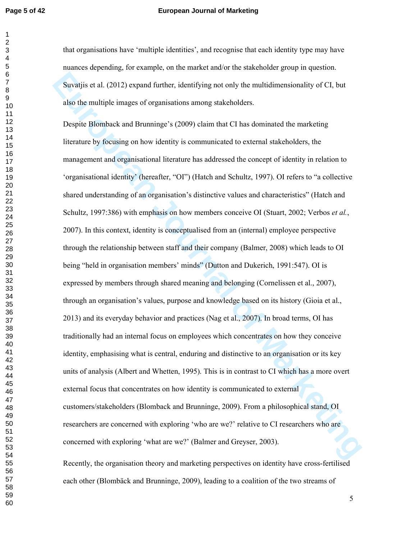#### **Page 5 of 42 European Journal of Marketing**

that organisations have 'multiple identities', and recognise that each identity type may have nuances depending, for example, on the market and/or the stakeholder group in question. Suvatjis et al. (2012) expand further, identifying not only the multidimensionality of CI, but also the multiple images of organisations among stakeholders.

Suvalija et al. (2012) expand l'arther, identifying not only the multidimensionality of CI, but<br>also the multiple images of organisations among stakeholders.<br>
Despite Hörnhuck and Hruminge's (2009) cluim that CI has domina Despite Blomback and Brunninge's (2009) claim that CI has dominated the marketing literature by focusing on how identity is communicated to external stakeholders, the management and organisational literature has addressed the concept of identity in relation to 'organisational identity' (hereafter, "OI") (Hatch and Schultz, 1997). OI refers to "a collective shared understanding of an organisation's distinctive values and characteristics" (Hatch and Schultz, 1997:386) with emphasis on how members conceive OI (Stuart, 2002; Verbos *et al.*, 2007). In this context, identity is conceptualised from an (internal) employee perspective through the relationship between staff and their company (Balmer, 2008) which leads to OI being "held in organisation members' minds" (Dutton and Dukerich, 1991:547). OI is expressed by members through shared meaning and belonging (Cornelissen et al., 2007), through an organisation's values, purpose and knowledge based on its history (Gioia et al., 2013) and its everyday behavior and practices (Nag et al., 2007). In broad terms, OI has traditionally had an internal focus on employees which concentrates on how they conceive identity, emphasising what is central, enduring and distinctive to an organisation or its key units of analysis (Albert and Whetten, 1995). This is in contrast to CI which has a more overt external focus that concentrates on how identity is communicated to external customers/stakeholders (Blomback and Brunninge, 2009). From a philosophical stand, OI researchers are concerned with exploring 'who are we?' relative to CI researchers who are concerned with exploring 'what are we?' (Balmer and Greyser, 2003).

Recently, the organisation theory and marketing perspectives on identity have cross-fertilised each other (Blombäck and Brunninge, 2009), leading to a coalition of the two streams of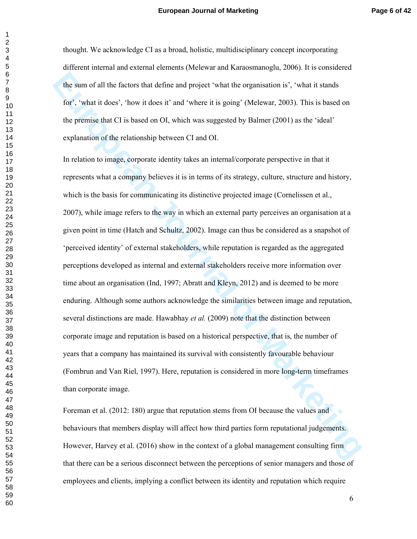thought. We acknowledge CI as a broad, holistic, multidisciplinary concept incorporating different internal and external elements (Melewar and Karaosmanoglu, 2006). It is considered the sum of all the factors that define and project 'what the organisation is', 'what it stands for', 'what it does', 'how it does it' and 'where it is going' (Melewar, 2003). This is based on the premise that CI is based on OI, which was suggested by Balmer (2001) as the 'ideal' explanation of the relationship between CI and OI.

the sum of all the factors that define and project "what the organisation is", "what it stands<br>for", "what it does". 'how it does it" and "where it is going" (Melewar, 2003). This is based on<br>the premise that CI is based o In relation to image, corporate identity takes an internal/corporate perspective in that it represents what a company believes it is in terms of its strategy, culture, structure and history, which is the basis for communicating its distinctive projected image (Cornelissen et al., 2007), while image refers to the way in which an external party perceives an organisation at a given point in time (Hatch and Schultz, 2002). Image can thus be considered as a snapshot of 'perceived identity' of external stakeholders, while reputation is regarded as the aggregated perceptions developed as internal and external stakeholders receive more information over time about an organisation (Ind, 1997; Abratt and Kleyn, 2012) and is deemed to be more enduring. Although some authors acknowledge the similarities between image and reputation, several distinctions are made. Hawabhay *et al.* (2009) note that the distinction between corporate image and reputation is based on a historical perspective, that is, the number of years that a company has maintained its survival with consistently favourable behaviour (Fombrun and Van Riel, 1997). Here, reputation is considered in more long-term timeframes than corporate image.

Foreman et al. (2012: 180) argue that reputation stems from OI because the values and behaviours that members display will affect how third parties form reputational judgements. However, Harvey et al. (2016) show in the context of a global management consulting firm that there can be a serious disconnect between the perceptions of senior managers and those of employees and clients, implying a conflict between its identity and reputation which require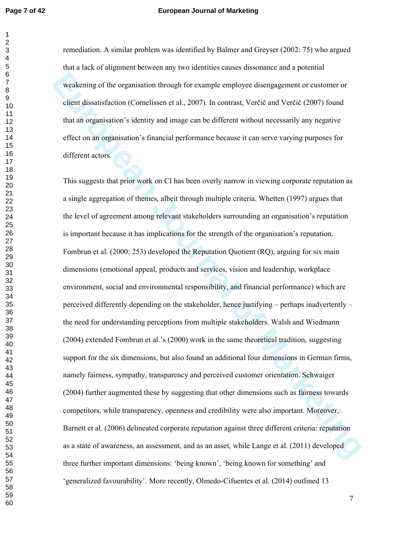#### **Page 7 of 42 European Journal of Marketing**

remediation. A similar problem was identified by Balmer and Greyser (2002: 75) who argued that a lack of alignment between any two identities causes dissonance and a potential weakening of the organisation through for example employee disengagement or customer or client dissatisfaction (Cornelissen et al., 2007). In contrast, Verčič and Verčič (2007) found that an organisation's identity and image can be different without necessarily any negative effect on an organisation's financial performance because it can serve varying purposes for different actors.

weakening of the urganisation through for example employee disengagement or customer or<br>client dissatisfaction (Cornelissen et al., 2007). In contrast, Vertice and Vertice (2007) found<br>that an organisation's identity and i This suggests that prior work on CI has been overly narrow in viewing corporate reputation as a single aggregation of themes, albeit through multiple criteria. Whetten (1997) argues that the level of agreement among relevant stakeholders surrounding an organisation's reputation is important because it has implications for the strength of the organisation's reputation. Fombrun et al. (2000: 253) developed the Reputation Quotient (RQ), arguing for six main dimensions (emotional appeal, products and services, vision and leadership, workplace environment, social and environmental responsibility, and financial performance) which are perceived differently depending on the stakeholder, hence justifying – perhaps inadvertently – the need for understanding perceptions from multiple stakeholders. Walsh and Wiedmann (2004) extended Fombrun et al.'s (2000) work in the same theoretical tradition, suggesting support for the six dimensions, but also found an additional four dimensions in German firms, namely fairness, sympathy, transparency and perceived customer orientation. Schwaiger (2004) further augmented these by suggesting that other dimensions such as fairness towards competitors, while transparency, openness and credibility were also important. Moreover, Barnett et al. (2006) delineated corporate reputation against three different criteria: reputation as a state of awareness, an assessment, and as an asset, while Lange et al. (2011) developed three further important dimensions: 'being known', 'being known for something' and 'generalized favourability'. More recently, Olmedo-Cifuentes et al. (2014) outlined 13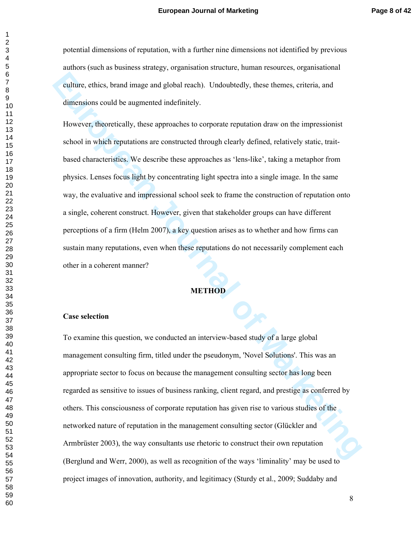potential dimensions of reputation, with a further nine dimensions not identified by previous authors (such as business strategy, organisation structure, human resources, organisational culture, ethics, brand image and global reach). Undoubtedly, these themes, criteria, and dimensions could be augmented indefinitely.

calture, ethics, brand image and global reach). Undoubtedly, these themes, criteria, and<br>dimensions could be augmented indefinitely.<br> **However, theoretically, these approaches to corporate reputation draw on the impression** However, theoretically, these approaches to corporate reputation draw on the impressionist school in which reputations are constructed through clearly defined, relatively static, traitbased characteristics. We describe these approaches as 'lens-like', taking a metaphor from physics. Lenses focus light by concentrating light spectra into a single image. In the same way, the evaluative and impressional school seek to frame the construction of reputation onto a single, coherent construct. However, given that stakeholder groups can have different perceptions of a firm (Helm 2007), a key question arises as to whether and how firms can sustain many reputations, even when these reputations do not necessarily complement each other in a coherent manner?

# **METHOD**

#### **Case selection**

To examine this question, we conducted an interview-based study of a large global management consulting firm, titled under the pseudonym, 'Novel Solutions'. This was an appropriate sector to focus on because the management consulting sector has long been regarded as sensitive to issues of business ranking, client regard, and prestige as conferred by others. This consciousness of corporate reputation has given rise to various studies of the networked nature of reputation in the management consulting sector (Glückler and Armbrüster 2003), the way consultants use rhetoric to construct their own reputation (Berglund and Werr, 2000), as well as recognition of the ways 'liminality' may be used to project images of innovation, authority, and legitimacy (Sturdy et al., 2009; Suddaby and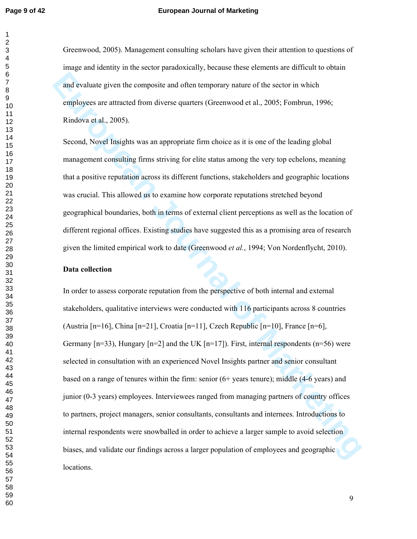#### **Page 9 of 42 European Journal of Marketing**

Greenwood, 2005). Management consulting scholars have given their attention to questions of image and identity in the sector paradoxically, because these elements are difficult to obtain and evaluate given the composite and often temporary nature of the sector in which employees are attracted from diverse quarters (Greenwood et al., 2005; Fombrun, 1996; Rindova et al., 2005).

Second, Novel Insights was an appropriate firm choice as it is one of the leading global management consulting firms striving for elite status among the very top echelons, meaning that a positive reputation across its different functions, stakeholders and geographic locations was crucial. This allowed us to examine how corporate reputations stretched beyond geographical boundaries, both in terms of external client perceptions as well as the location of different regional offices. Existing studies have suggested this as a promising area of research given the limited empirical work to date (Greenwood *et al.*, 1994; Von Nordenflycht, 2010).

### **Data collection**

and evaluate given the composite and often temporary nature of the sector in which<br>employees are attracted from diverse quarters (Greenwood et al., 2005; Fombrun, 1996;<br>Rindova et al., 2005).<br>
Record, Novel Insights was a In order to assess corporate reputation from the perspective of both internal and external stakeholders, qualitative interviews were conducted with 116 participants across 8 countries (Austria  $[n=16]$ , China  $[n=21]$ , Croatia  $[n=11]$ , Czech Republic  $[n=10]$ , France  $[n=6]$ , Germany  $[n=33)$ , Hungary  $[n=2]$  and the UK  $[n=17]$ ). First, internal respondents  $(n=56)$  were selected in consultation with an experienced Novel Insights partner and senior consultant based on a range of tenures within the firm: senior (6+ years tenure); middle (4-6 years) and junior (0-3 years) employees. Interviewees ranged from managing partners of country offices to partners, project managers, senior consultants, consultants and internees. Introductions to internal respondents were snowballed in order to achieve a larger sample to avoid selection biases, and validate our findings across a larger population of employees and geographic locations.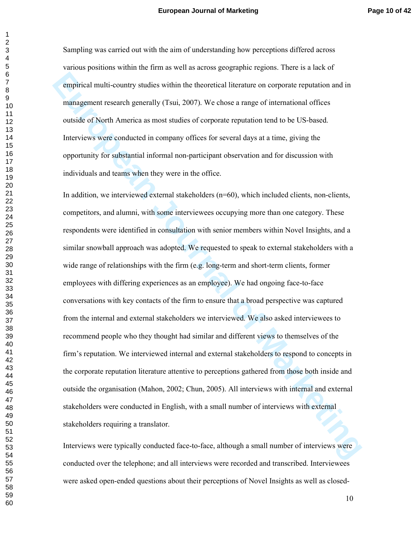Sampling was carried out with the aim of understanding how perceptions differed across various positions within the firm as well as across geographic regions. There is a lack of empirical multi-country studies within the theoretical literature on corporate reputation and in management research generally (Tsui, 2007). We chose a range of international offices outside of North America as most studies of corporate reputation tend to be US-based. Interviews were conducted in company offices for several days at a time, giving the opportunity for substantial informal non-participant observation and for discussion with individuals and teams when they were in the office.

empirical multi-country studies within the theoretical literature on corporate reputation and in<br>management research generally (Tsui, 2007). We chose a range of international offices<br>outside of North America as most studie In addition, we interviewed external stakeholders  $(n=60)$ , which included clients, non-clients, competitors, and alumni, with some interviewees occupying more than one category. These respondents were identified in consultation with senior members within Novel Insights, and a similar snowball approach was adopted. We requested to speak to external stakeholders with a wide range of relationships with the firm (e.g. long-term and short-term clients, former employees with differing experiences as an employee). We had ongoing face-to-face conversations with key contacts of the firm to ensure that a broad perspective was captured from the internal and external stakeholders we interviewed. We also asked interviewees to recommend people who they thought had similar and different views to themselves of the firm's reputation. We interviewed internal and external stakeholders to respond to concepts in the corporate reputation literature attentive to perceptions gathered from those both inside and outside the organisation (Mahon, 2002; Chun, 2005). All interviews with internal and external stakeholders were conducted in English, with a small number of interviews with external stakeholders requiring a translator.

Interviews were typically conducted face-to-face, although a small number of interviews were conducted over the telephone; and all interviews were recorded and transcribed. Interviewees were asked open-ended questions about their perceptions of Novel Insights as well as closed-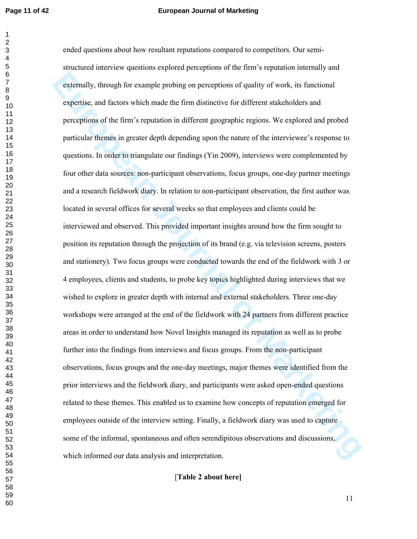#### **Page 11 of 42 European Journal of Marketing**

**Euromally, through for example probing on perceptions of quality of work, its functional expertise, and factors which made the firm distinctive for different stakeholders and perceptions of the firm's reputation in diffe** ended questions about how resultant reputations compared to competitors. Our semistructured interview questions explored perceptions of the firm's reputation internally and externally, through for example probing on perceptions of quality of work, its functional expertise, and factors which made the firm distinctive for different stakeholders and perceptions of the firm's reputation in different geographic regions. We explored and probed particular themes in greater depth depending upon the nature of the interviewee's response to questions. In order to triangulate our findings (Yin 2009), interviews were complemented by four other data sources: non-participant observations, focus groups, one-day partner meetings and a research fieldwork diary. In relation to non-participant observation, the first author was located in several offices for several weeks so that employees and clients could be interviewed and observed. This provided important insights around how the firm sought to position its reputation through the projection of its brand (e.g. via television screens, posters and stationery). Two focus groups were conducted towards the end of the fieldwork with 3 or 4 employees, clients and students, to probe key topics highlighted during interviews that we wished to explore in greater depth with internal and external stakeholders. Three one-day workshops were arranged at the end of the fieldwork with 24 partners from different practice areas in order to understand how Novel Insights managed its reputation as well as to probe further into the findings from interviews and focus groups. From the non-participant observations, focus groups and the one-day meetings, major themes were identified from the prior interviews and the fieldwork diary, and participants were asked open-ended questions related to these themes. This enabled us to examine how concepts of reputation emerged for employees outside of the interview setting. Finally, a fieldwork diary was used to capture some of the informal, spontaneous and often serendipitous observations and discussions, which informed our data analysis and interpretation.

[**Table 2 about here]**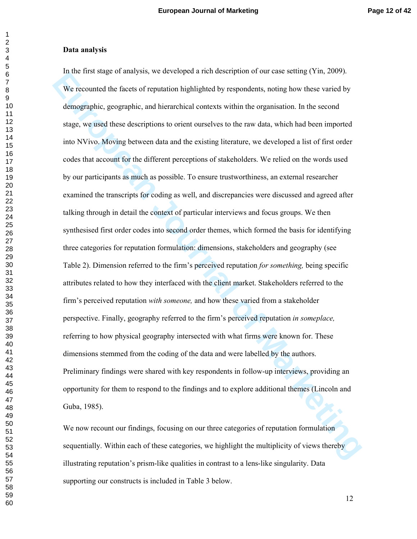#### **Data analysis**

In the Hiss stage of anarysis, we developed a final description to our case seturing (Tim, 2009).<br>We recounted the forest of reputation highlighted by respondents, noting how these varied by encomplyinc, georgraphic, and i In the first stage of analysis, we developed a rich description of our case setting (Yin, 2009). We recounted the facets of reputation highlighted by respondents, noting how these varied by demographic, geographic, and hierarchical contexts within the organisation. In the second stage, we used these descriptions to orient ourselves to the raw data, which had been imported into NVivo. Moving between data and the existing literature, we developed a list of first order codes that account for the different perceptions of stakeholders. We relied on the words used by our participants as much as possible. To ensure trustworthiness, an external researcher examined the transcripts for coding as well, and discrepancies were discussed and agreed after talking through in detail the context of particular interviews and focus groups. We then synthesised first order codes into second order themes, which formed the basis for identifying three categories for reputation formulation: dimensions, stakeholders and geography (see Table 2). Dimension referred to the firm's perceived reputation *for something,* being specific attributes related to how they interfaced with the client market. Stakeholders referred to the firm's perceived reputation *with someone,* and how these varied from a stakeholder perspective. Finally, geography referred to the firm's perceived reputation *in someplace,*  referring to how physical geography intersected with what firms were known for. These dimensions stemmed from the coding of the data and were labelled by the authors. Preliminary findings were shared with key respondents in follow-up interviews, providing an opportunity for them to respond to the findings and to explore additional themes (Lincoln and Guba, 1985).

We now recount our findings, focusing on our three categories of reputation formulation sequentially. Within each of these categories, we highlight the multiplicity of views thereby illustrating reputation's prism-like qualities in contrast to a lens-like singularity. Data supporting our constructs is included in Table 3 below.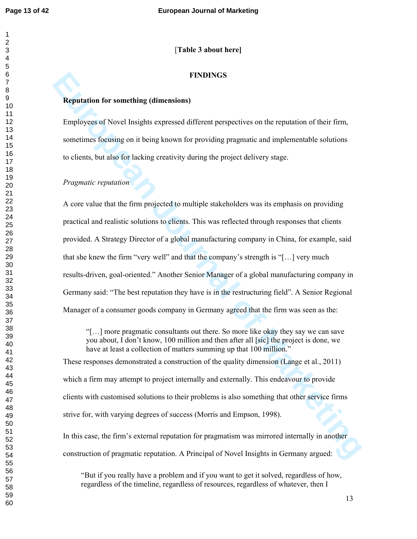# [**Table 3 about here]**

# **FINDINGS**

#### **Reputation for something (dimensions)**

Employees of Novel Insights expressed different perspectives on the reputation of their firm, sometimes focusing on it being known for providing pragmatic and implementable solutions to clients, but also for lacking creativity during the project delivery stage.

# *Pragmatic reputation*

**EIRDINGS**<br>**Envolves of Novel Insights expressed different perspectives on the reputation of their firm,**<br>sometimes focating on it being known for providing pragmatic and implementable solutions<br>to clients, but also for la A core value that the firm projected to multiple stakeholders was its emphasis on providing practical and realistic solutions to clients. This was reflected through responses that clients provided. A Strategy Director of a global manufacturing company in China, for example, said that she knew the firm "very well" and that the company's strength is "[…] very much results-driven, goal-oriented." Another Senior Manager of a global manufacturing company in Germany said: "The best reputation they have is in the restructuring field". A Senior Regional Manager of a consumer goods company in Germany agreed that the firm was seen as the:

"[…] more pragmatic consultants out there. So more like okay they say we can save you about, I don't know, 100 million and then after all [sic] the project is done, we have at least a collection of matters summing up that 100 million."

These responses demonstrated a construction of the quality dimension (Lange et al., 2011) which a firm may attempt to project internally and externally. This endeavour to provide clients with customised solutions to their problems is also something that other service firms strive for, with varying degrees of success (Morris and Empson, 1998).

In this case, the firm's external reputation for pragmatism was mirrored internally in another construction of pragmatic reputation. A Principal of Novel Insights in Germany argued:

"But if you really have a problem and if you want to get it solved, regardless of how, regardless of the timeline, regardless of resources, regardless of whatever, then I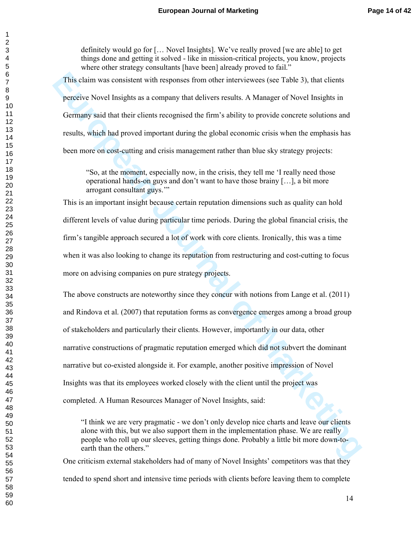definitely would go for [… Novel Insights]. We've really proved [we are able] to get things done and getting it solved - like in mission-critical projects, you know, projects where other strategy consultants [have been] already proved to fail."

This claim was consistent with responses from other interviewees (see Table 3), that clients perceive Novel Insights as a company that delivers results. A Manager of Novel Insights in Germany said that their clients recognised the firm's ability to provide concrete solutions and results, which had proved important during the global economic crisis when the emphasis has been more on cost-cutting and crisis management rather than blue sky strategy projects:

"So, at the moment, especially now, in the crisis, they tell me 'I really need those operational hands-on guys and don't want to have those brainy […], a bit more arrogant consultant guys.'"

This is an important insight because certain reputation dimensions such as quality can hold different levels of value during particular time periods. During the global financial crisis, the firm's tangible approach secured a lot of work with core clients. Ironically, this was a time when it was also looking to change its reputation from restructuring and cost-cutting to focus more on advising companies on pure strategy projects.

This chain was consistent with responses from other interviewers (see Table 3), that clients<br>perceive Novel Insights as a company that delivers results. A Manager of Novel Insights in<br>Germany said that their clients recogn The above constructs are noteworthy since they concur with notions from Lange et al. (2011) and Rindova et al. (2007) that reputation forms as convergence emerges among a broad group of stakeholders and particularly their clients. However, importantly in our data, other narrative constructions of pragmatic reputation emerged which did not subvert the dominant narrative but co-existed alongside it. For example, another positive impression of Novel Insights was that its employees worked closely with the client until the project was completed. A Human Resources Manager of Novel Insights, said:

"I think we are very pragmatic - we don't only develop nice charts and leave our clients alone with this, but we also support them in the implementation phase. We are really people who roll up our sleeves, getting things done. Probably a little bit more down-toearth than the others."

One criticism external stakeholders had of many of Novel Insights' competitors was that they tended to spend short and intensive time periods with clients before leaving them to complete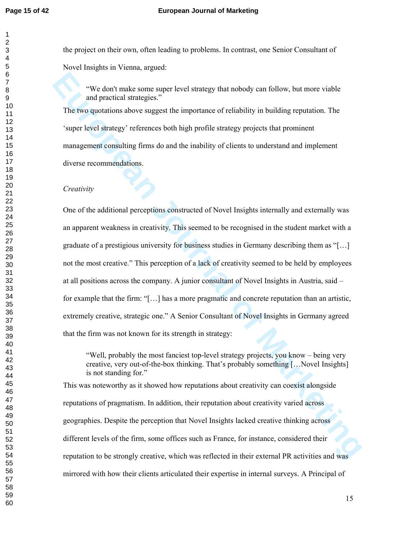the project on their own, often leading to problems. In contrast, one Senior Consultant of Novel Insights in Vienna, argued:

"We don't make some super level strategy that nobody can follow, but more viable and practical strategies."

The two quotations above suggest the importance of reliability in building reputation. The 'super level strategy' references both high profile strategy projects that prominent management consulting firms do and the inability of clients to understand and implement diverse recommendations.

#### *Creativity*

**EVE don't make some super level strategy that nobody can follow, but more viable and pactical strategies."**<br>The two quotations above suggest the importance of reliability in building reputation. The 'super level strategy' One of the additional perceptions constructed of Novel Insights internally and externally was an apparent weakness in creativity. This seemed to be recognised in the student market with a graduate of a prestigious university for business studies in Germany describing them as "[…] not the most creative." This perception of a lack of creativity seemed to be held by employees at all positions across the company. A junior consultant of Novel Insights in Austria, said – for example that the firm: "[…] has a more pragmatic and concrete reputation than an artistic, extremely creative, strategic one." A Senior Consultant of Novel Insights in Germany agreed that the firm was not known for its strength in strategy:

"Well, probably the most fanciest top-level strategy projects, you know – being very creative, very out-of-the-box thinking. That's probably something […Novel Insights] is not standing for."

This was noteworthy as it showed how reputations about creativity can coexist alongside reputations of pragmatism. In addition, their reputation about creativity varied across geographies. Despite the perception that Novel Insights lacked creative thinking across different levels of the firm, some offices such as France, for instance, considered their reputation to be strongly creative, which was reflected in their external PR activities and was mirrored with how their clients articulated their expertise in internal surveys. A Principal of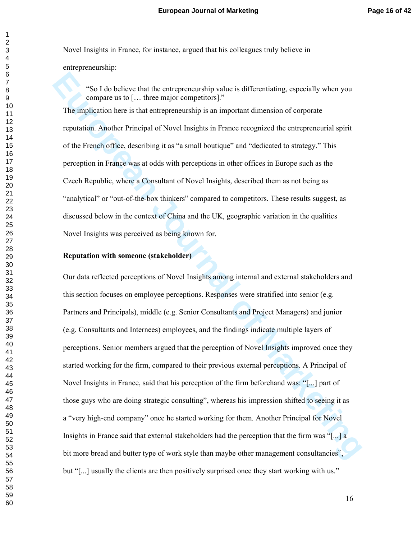Novel Insights in France, for instance, argued that his colleagues truly believe in entrepreneurship:

"So I do believe that the entrepreneurship value is differentiating, especially when you compare us to [… three major competitors]." The implication here is that entrepreneurship is an important dimension of corporate reputation. Another Principal of Novel Insights in France recognized the entrepreneurial spirit of the French office, describing it as "a small boutique" and "dedicated to strategy." This perception in France was at odds with perceptions in other offices in Europe such as the Czech Republic, where a Consultant of Novel Insights, described them as not being as "analytical" or "out-of-the-box thinkers" compared to competitors. These results suggest, as discussed below in the context of China and the UK, geographic variation in the qualities Novel Insights was perceived as being known for.

#### **Reputation with someone (stakeholder)**

"So I do believe that the entrepreneurship value is differentiating, especially when you compare us to [..., three major competitors]."<br>The implication here is that entrepreneurship is an important dimension of conporate Our data reflected perceptions of Novel Insights among internal and external stakeholders and this section focuses on employee perceptions. Responses were stratified into senior (e.g. Partners and Principals), middle (e.g. Senior Consultants and Project Managers) and junior (e.g. Consultants and Internees) employees, and the findings indicate multiple layers of perceptions. Senior members argued that the perception of Novel Insights improved once they started working for the firm, compared to their previous external perceptions. A Principal of Novel Insights in France, said that his perception of the firm beforehand was: "[...] part of those guys who are doing strategic consulting", whereas his impression shifted to seeing it as a "very high-end company" once he started working for them. Another Principal for Novel Insights in France said that external stakeholders had the perception that the firm was "[...] a bit more bread and butter type of work style than maybe other management consultancies", but "[...] usually the clients are then positively surprised once they start working with us."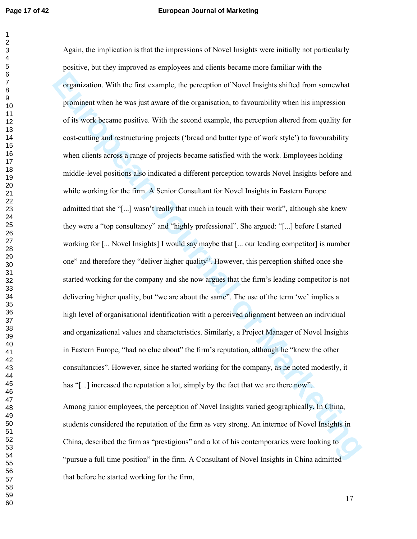#### **Page 17 of 42 European Journal of Marketing**

organization. With the first example, the perception of Novel Insights shifted from somewhat<br>prominent when he was just aware of the organization, to favourability when his impression<br>of its work became positive. With the Again, the implication is that the impressions of Novel Insights were initially not particularly positive, but they improved as employees and clients became more familiar with the organization. With the first example, the perception of Novel Insights shifted from somewhat prominent when he was just aware of the organisation, to favourability when his impression of its work became positive. With the second example, the perception altered from quality for cost-cutting and restructuring projects ('bread and butter type of work style') to favourability when clients across a range of projects became satisfied with the work. Employees holding middle-level positions also indicated a different perception towards Novel Insights before and while working for the firm. A Senior Consultant for Novel Insights in Eastern Europe admitted that she "[...] wasn't really that much in touch with their work", although she knew they were a "top consultancy" and "highly professional". She argued: "[...] before I started working for [... Novel Insights] I would say maybe that [... our leading competitor] is number one" and therefore they "deliver higher quality". However, this perception shifted once she started working for the company and she now argues that the firm's leading competitor is not delivering higher quality, but "we are about the same". The use of the term 'we' implies a high level of organisational identification with a perceived alignment between an individual and organizational values and characteristics. Similarly, a Project Manager of Novel Insights in Eastern Europe, "had no clue about" the firm's reputation, although he "knew the other consultancies". However, since he started working for the company, as he noted modestly, it has "[...] increased the reputation a lot, simply by the fact that we are there now". Among junior employees, the perception of Novel Insights varied geographically. In China, students considered the reputation of the firm as very strong. An internee of Novel Insights in China, described the firm as "prestigious" and a lot of his contemporaries were looking to "pursue a full time position" in the firm. A Consultant of Novel Insights in China admitted

that before he started working for the firm,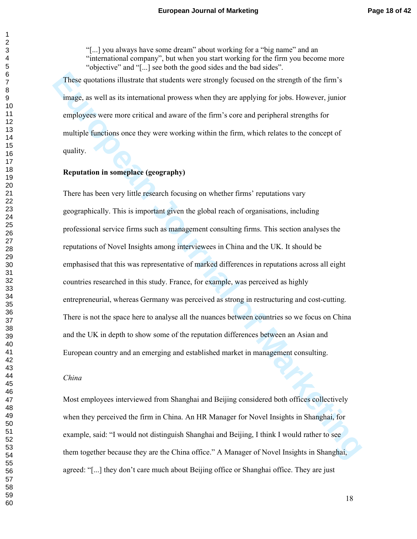"[...] you always have some dream" about working for a "big name" and an "international company", but when you start working for the firm you become more "objective" and "[...] see both the good sides and the bad sides".

These quotations illustrate that students were strongly focused on the strength of the firm's image, as well as its international prowess when they are applying for jobs. However, junior employees were more critical and aware of the firm's core and peripheral strengths for multiple functions once they were working within the firm, which relates to the concept of quality.

# **Reputation in someplace (geography)**

These quotations illustrate that students were strongly focused on the strength of the firm's<br>
image, as well as its international provees when they are applying for jobs. However, junior<br>
employees were more critical and There has been very little research focusing on whether firms' reputations vary geographically. This is important given the global reach of organisations, including professional service firms such as management consulting firms. This section analyses the reputations of Novel Insights among interviewees in China and the UK. It should be emphasised that this was representative of marked differences in reputations across all eight countries researched in this study. France, for example, was perceived as highly entrepreneurial, whereas Germany was perceived as strong in restructuring and cost-cutting. There is not the space here to analyse all the nuances between countries so we focus on China and the UK in depth to show some of the reputation differences between an Asian and European country and an emerging and established market in management consulting.

#### *China*

Most employees interviewed from Shanghai and Beijing considered both offices collectively when they perceived the firm in China. An HR Manager for Novel Insights in Shanghai, for example, said: "I would not distinguish Shanghai and Beijing, I think I would rather to see them together because they are the China office." A Manager of Novel Insights in Shanghai, agreed: "[...] they don't care much about Beijing office or Shanghai office. They are just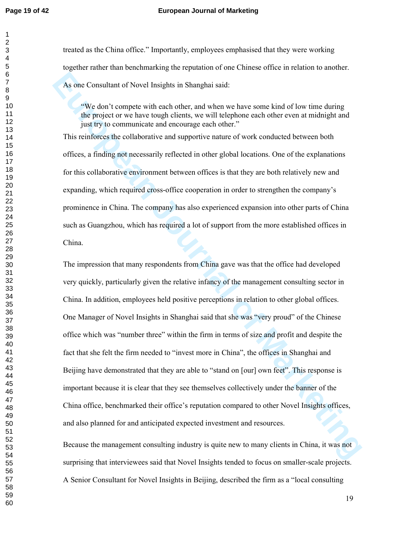#### **Page 19 of 42 European Journal of Marketing**

treated as the China office." Importantly, employees emphasised that they were working together rather than benchmarking the reputation of one Chinese office in relation to another. As one Consultant of Novel Insights in Shanghai said:

"We don't compete with each other, and when we have some kind of low time during the project or we have tough clients, we will telephone each other even at midnight and just try to communicate and encourage each other."

This reinforces the collaborative and supportive nature of work conducted between both offices, a finding not necessarily reflected in other global locations. One of the explanations for this collaborative environment between offices is that they are both relatively new and expanding, which required cross-office cooperation in order to strengthen the company's prominence in China. The company has also experienced expansion into other parts of China such as Guangzhou, which has required a lot of support from the more established offices in China.

As one Consultant of Novel Insights in Shanghai said.<br>
"We don't complete with each other, and when we have some kind of low time during<br>
the project or we have tongel elects, we will telephone cach other even at midnight The impression that many respondents from China gave was that the office had developed very quickly, particularly given the relative infancy of the management consulting sector in China. In addition, employees held positive perceptions in relation to other global offices. One Manager of Novel Insights in Shanghai said that she was "very proud" of the Chinese office which was "number three" within the firm in terms of size and profit and despite the fact that she felt the firm needed to "invest more in China", the offices in Shanghai and Beijing have demonstrated that they are able to "stand on [our] own feet". This response is important because it is clear that they see themselves collectively under the banner of the China office, benchmarked their office's reputation compared to other Novel Insights offices, and also planned for and anticipated expected investment and resources.

Because the management consulting industry is quite new to many clients in China, it was not surprising that interviewees said that Novel Insights tended to focus on smaller-scale projects. A Senior Consultant for Novel Insights in Beijing, described the firm as a "local consulting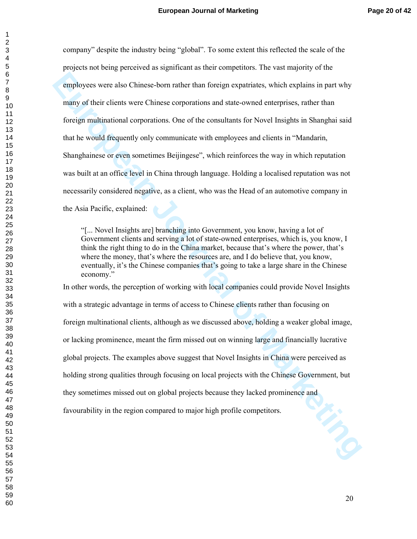**EUROPER THE CONSIDER CONSIDERATIVE CONSIDE SERVICE INTO THE SURVER THE CONSIDERATIVE SURVERTIES AND ARRANGEM IN THE CONSIDERATIVE IS NOTED INTO THE CONSIDERATIVE IS NOT THE CONSIDERATIVE OF THE CONSIDERATIVE OF THE MARKET** company" despite the industry being "global". To some extent this reflected the scale of the projects not being perceived as significant as their competitors. The vast majority of the employees were also Chinese-born rather than foreign expatriates, which explains in part why many of their clients were Chinese corporations and state-owned enterprises, rather than foreign multinational corporations. One of the consultants for Novel Insights in Shanghai said that he would frequently only communicate with employees and clients in "Mandarin, Shanghainese or even sometimes Beijingese", which reinforces the way in which reputation was built at an office level in China through language. Holding a localised reputation was not necessarily considered negative, as a client, who was the Head of an automotive company in the Asia Pacific, explained:

"[... Novel Insights are] branching into Government, you know, having a lot of Government clients and serving a lot of state-owned enterprises, which is, you know, I think the right thing to do in the China market, because that's where the power, that's where the money, that's where the resources are, and I do believe that, you know, eventually, it's the Chinese companies that's going to take a large share in the Chinese economy."

In other words, the perception of working with local companies could provide Novel Insights with a strategic advantage in terms of access to Chinese clients rather than focusing on foreign multinational clients, although as we discussed above, holding a weaker global image, or lacking prominence, meant the firm missed out on winning large and financially lucrative global projects. The examples above suggest that Novel Insights in China were perceived as holding strong qualities through focusing on local projects with the Chinese Government, but they sometimes missed out on global projects because they lacked prominence and favourability in the region compared to major high profile competitors.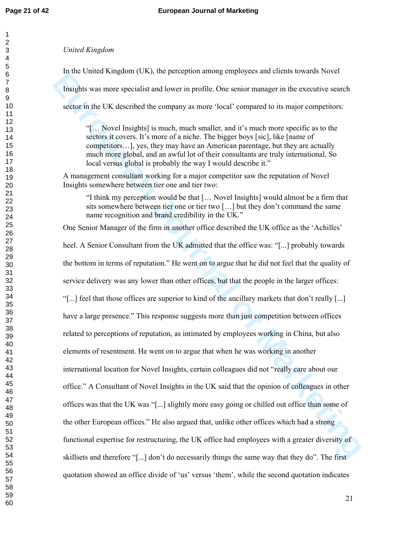#### *United Kingdom*

In the United Kingdom (UK), the perception among employees and clients towards Novel

Insights was more specialist and lower in profile. One senior manager in the executive search

sector in the UK described the company as more 'local' compared to its major competitors:

"[… Novel Insights] is much, much smaller, and it's much more specific as to the sectors it covers. It's more of a niche. The bigger boys [sic], like [name of competitors…], yes, they may have an American parentage, but they are actually much more global, and an awful lot of their consultants are truly international. So local versus global is probably the way I would describe it."

A management consultant working for a major competitor saw the reputation of Novel Insights somewhere between tier one and tier two:

"I think my perception would be that [… Novel Insights] would almost be a firm that sits somewhere between tier one or tier two […] but they don't command the same name recognition and brand credibility in the UK."

One Senior Manager of the firm in another office described the UK office as the 'Achilles'

In the clutted sampleoid rock), the pelception anotoge employees and cultures towards invert<br>Insights was more specialist and lower in potitic. One especialist and the source searches external in the searches searches of t heel. A Senior Consultant from the UK admitted that the office was: "[...] probably towards the bottom in terms of reputation." He went on to argue that he did not feel that the quality of service delivery was any lower than other offices, but that the people in the larger offices: "[...] feel that those offices are superior to kind of the ancillary markets that don't really [...] have a large presence." This response suggests more than just competition between offices related to perceptions of reputation, as intimated by employees working in China, but also elements of resentment. He went on to argue that when he was working in another international location for Novel Insights, certain colleagues did not "really care about our office." A Consultant of Novel Insights in the UK said that the opinion of colleagues in other offices was that the UK was "[...] slightly more easy going or chilled out office than some of the other European offices." He also argued that, unlike other offices which had a strong functional expertise for restructuring, the UK office had employees with a greater diversity of skillsets and therefore "[...] don't do necessarily things the same way that they do". The first quotation showed an office divide of 'us' versus 'them', while the second quotation indicates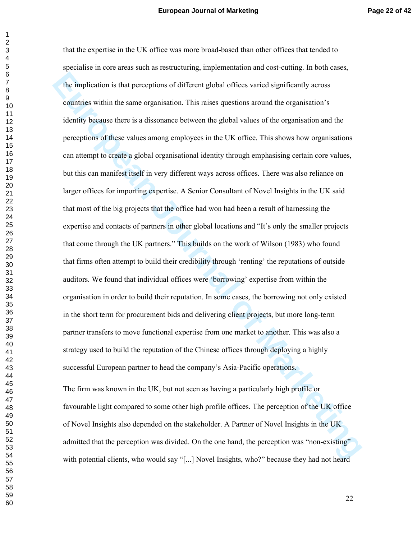The implication is that perceptions of different global offices varied significantly across<br>countries within the same organisation. This raises questions around the organisation's<br>identity because there is a dissonance bet that the expertise in the UK office was more broad-based than other offices that tended to specialise in core areas such as restructuring, implementation and cost-cutting. In both cases, the implication is that perceptions of different global offices varied significantly across countries within the same organisation. This raises questions around the organisation's identity because there is a dissonance between the global values of the organisation and the perceptions of these values among employees in the UK office. This shows how organisations can attempt to create a global organisational identity through emphasising certain core values, but this can manifest itself in very different ways across offices. There was also reliance on larger offices for importing expertise. A Senior Consultant of Novel Insights in the UK said that most of the big projects that the office had won had been a result of harnessing the expertise and contacts of partners in other global locations and "It's only the smaller projects that come through the UK partners." This builds on the work of Wilson (1983) who found that firms often attempt to build their credibility through 'renting' the reputations of outside auditors. We found that individual offices were 'borrowing' expertise from within the organisation in order to build their reputation. In some cases, the borrowing not only existed in the short term for procurement bids and delivering client projects, but more long-term partner transfers to move functional expertise from one market to another. This was also a strategy used to build the reputation of the Chinese offices through deploying a highly successful European partner to head the company's Asia-Pacific operations.

The firm was known in the UK, but not seen as having a particularly high profile or favourable light compared to some other high profile offices. The perception of the UK office of Novel Insights also depended on the stakeholder. A Partner of Novel Insights in the UK admitted that the perception was divided. On the one hand, the perception was "non-existing" with potential clients, who would say "[...] Novel Insights, who?" because they had not heard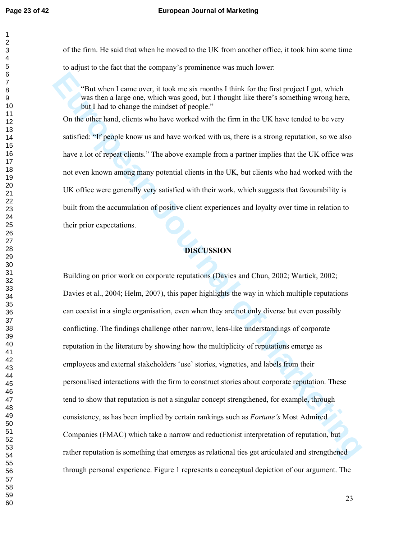of the firm. He said that when he moved to the UK from another office, it took him some time to adjust to the fact that the company's prominence was much lower:

"But when I came over, it took me six months I think for the first project I got, which was then a large one, which was good, but I thought like there's something wrong here, but I had to change the mindset of people."

On the other hand, clients who have worked with the firm in the UK have tended to be very satisfied: "If people know us and have worked with us, there is a strong reputation, so we also have a lot of repeat clients." The above example from a partner implies that the UK office was not even known among many potential clients in the UK, but clients who had worked with the UK office were generally very satisfied with their work, which suggests that favourability is built from the accumulation of positive client experiences and loyalty over time in relation to their prior expectations.

# **DISCUSSION**

That when I came over, it took me six months I think for the first project I got, which was then a hage one, which was good, but I thought like there's something wrong here, thus the lind to change the minds of prople.<br>
On Building on prior work on corporate reputations (Davies and Chun, 2002; Wartick, 2002; Davies et al., 2004; Helm, 2007), this paper highlights the way in which multiple reputations can coexist in a single organisation, even when they are not only diverse but even possibly conflicting. The findings challenge other narrow, lens-like understandings of corporate reputation in the literature by showing how the multiplicity of reputations emerge as employees and external stakeholders 'use' stories, vignettes, and labels from their personalised interactions with the firm to construct stories about corporate reputation. These tend to show that reputation is not a singular concept strengthened, for example, through consistency, as has been implied by certain rankings such as *Fortune's* Most Admired Companies (FMAC) which take a narrow and reductionist interpretation of reputation, but rather reputation is something that emerges as relational ties get articulated and strengthened through personal experience. Figure 1 represents a conceptual depiction of our argument. The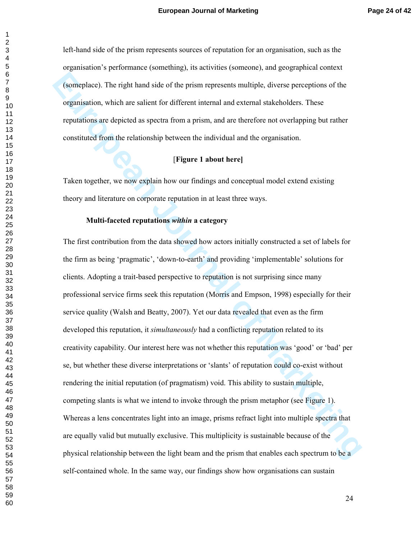left-hand side of the prism represents sources of reputation for an organisation, such as the organisation's performance (something), its activities (someone), and geographical context (someplace). The right hand side of the prism represents multiple, diverse perceptions of the organisation, which are salient for different internal and external stakeholders. These reputations are depicted as spectra from a prism, and are therefore not overlapping but rather constituted from the relationship between the individual and the organisation.

# [**Figure 1 about here]**

Taken together, we now explain how our findings and conceptual model extend existing theory and literature on corporate reputation in at least three ways.

#### **Multi-faceted reputations** *within* **a category**

(somisplace). The right hand side of the prism represents multiple, diverse perceptions of the organisation, which are saitent for different internal and external stackeholders. These reputations are depicted as spectra fr The first contribution from the data showed how actors initially constructed a set of labels for the firm as being 'pragmatic', 'down-to-earth' and providing 'implementable' solutions for clients. Adopting a trait-based perspective to reputation is not surprising since many professional service firms seek this reputation (Morris and Empson, 1998) especially for their service quality (Walsh and Beatty, 2007). Yet our data revealed that even as the firm developed this reputation, it *simultaneously* had a conflicting reputation related to its creativity capability. Our interest here was not whether this reputation was 'good' or 'bad' per se, but whether these diverse interpretations or 'slants' of reputation could co-exist without rendering the initial reputation (of pragmatism) void. This ability to sustain multiple, competing slants is what we intend to invoke through the prism metaphor (see Figure 1). Whereas a lens concentrates light into an image, prisms refract light into multiple spectra that are equally valid but mutually exclusive. This multiplicity is sustainable because of the physical relationship between the light beam and the prism that enables each spectrum to be a self-contained whole. In the same way, our findings show how organisations can sustain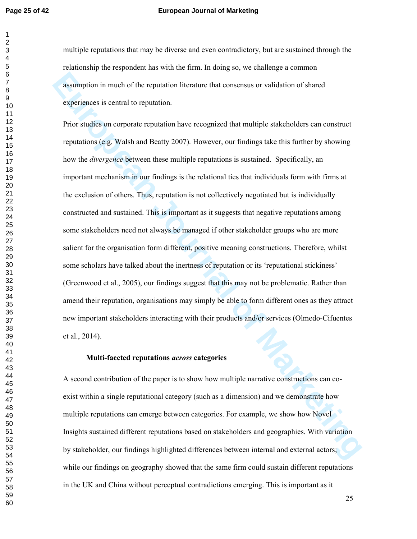#### **Page 25 of 42 European Journal of Marketing**

multiple reputations that may be diverse and even contradictory, but are sustained through the relationship the respondent has with the firm. In doing so, we challenge a common assumption in much of the reputation literature that consensus or validation of shared experiences is central to reputation.

assumption in much of the reputation literature that consensus or validation of shared<br>experiences is central to reputation.<br>
Prior studies on emporate reputation have recognized that multiple state-holders can construct<br> Prior studies on corporate reputation have recognized that multiple stakeholders can construct reputations (e.g. Walsh and Beatty 2007). However, our findings take this further by showing how the *divergence* between these multiple reputations is sustained. Specifically, an important mechanism in our findings is the relational ties that individuals form with firms at the exclusion of others. Thus, reputation is not collectively negotiated but is individually constructed and sustained. This is important as it suggests that negative reputations among some stakeholders need not always be managed if other stakeholder groups who are more salient for the organisation form different, positive meaning constructions. Therefore, whilst some scholars have talked about the inertness of reputation or its 'reputational stickiness' (Greenwood et al., 2005), our findings suggest that this may not be problematic. Rather than amend their reputation, organisations may simply be able to form different ones as they attract new important stakeholders interacting with their products and/or services (Olmedo-Cifuentes et al., 2014).

#### **Multi-faceted reputations** *across* **categories**

A second contribution of the paper is to show how multiple narrative constructions can coexist within a single reputational category (such as a dimension) and we demonstrate how multiple reputations can emerge between categories. For example, we show how Novel Insights sustained different reputations based on stakeholders and geographies. With variation by stakeholder, our findings highlighted differences between internal and external actors; while our findings on geography showed that the same firm could sustain different reputations in the UK and China without perceptual contradictions emerging. This is important as it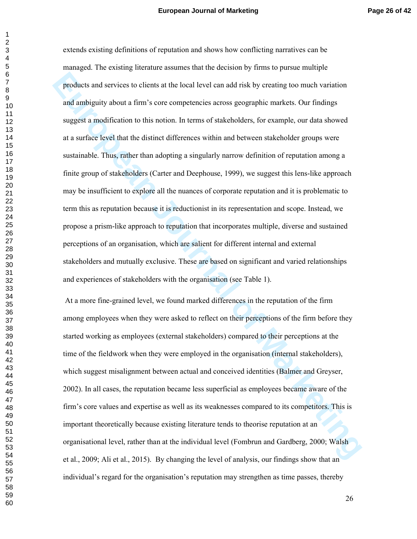products and services to clients at the local level can add risk by creating too much variation<br>and ambiguity about a firm's core comprenences across geographic markets. Our findings<br>suggest a modification to this notion. extends existing definitions of reputation and shows how conflicting narratives can be managed. The existing literature assumes that the decision by firms to pursue multiple products and services to clients at the local level can add risk by creating too much variation and ambiguity about a firm's core competencies across geographic markets. Our findings suggest a modification to this notion. In terms of stakeholders, for example, our data showed at a surface level that the distinct differences within and between stakeholder groups were sustainable. Thus, rather than adopting a singularly narrow definition of reputation among a finite group of stakeholders (Carter and Deephouse, 1999), we suggest this lens-like approach may be insufficient to explore all the nuances of corporate reputation and it is problematic to term this as reputation because it is reductionist in its representation and scope. Instead, we propose a prism-like approach to reputation that incorporates multiple, diverse and sustained perceptions of an organisation, which are salient for different internal and external stakeholders and mutually exclusive. These are based on significant and varied relationships and experiences of stakeholders with the organisation (see Table 1).

 At a more fine-grained level, we found marked differences in the reputation of the firm among employees when they were asked to reflect on their perceptions of the firm before they started working as employees (external stakeholders) compared to their perceptions at the time of the fieldwork when they were employed in the organisation (internal stakeholders), which suggest misalignment between actual and conceived identities (Balmer and Greyser, 2002). In all cases, the reputation became less superficial as employees became aware of the firm's core values and expertise as well as its weaknesses compared to its competitors. This is important theoretically because existing literature tends to theorise reputation at an organisational level, rather than at the individual level (Fombrun and Gardberg, 2000; Walsh et al., 2009; Ali et al., 2015). By changing the level of analysis, our findings show that an individual's regard for the organisation's reputation may strengthen as time passes, thereby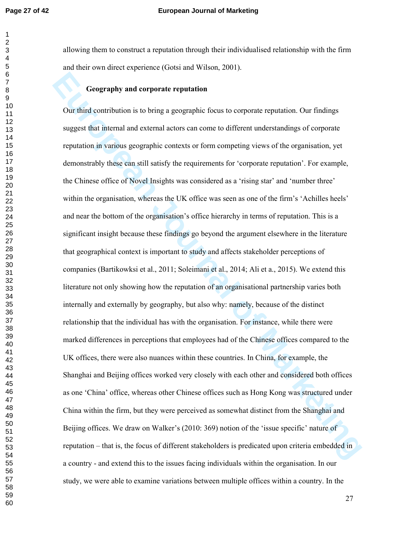#### **Page 27 of 42 European Journal of Marketing**

allowing them to construct a reputation through their individualised relationship with the firm and their own direct experience (Gotsi and Wilson, 2001).

# **Geography and corporate reputation**

**European Constraine Constraine Constraine Constraine Constrainers** Our findings Our flind exaction is to bring a geographic focus to corporate reputation. Our findings steps steps that internal and external actors can com Our third contribution is to bring a geographic focus to corporate reputation. Our findings suggest that internal and external actors can come to different understandings of corporate reputation in various geographic contexts or form competing views of the organisation, yet demonstrably these can still satisfy the requirements for 'corporate reputation'. For example, the Chinese office of Novel Insights was considered as a 'rising star' and 'number three' within the organisation, whereas the UK office was seen as one of the firm's 'Achilles heels' and near the bottom of the organisation's office hierarchy in terms of reputation. This is a significant insight because these findings go beyond the argument elsewhere in the literature that geographical context is important to study and affects stakeholder perceptions of companies (Bartikowksi et al., 2011; Soleimani et al., 2014; Ali et a., 2015). We extend this literature not only showing how the reputation of an organisational partnership varies both internally and externally by geography, but also why: namely, because of the distinct relationship that the individual has with the organisation. For instance, while there were marked differences in perceptions that employees had of the Chinese offices compared to the UK offices, there were also nuances within these countries. In China, for example, the Shanghai and Beijing offices worked very closely with each other and considered both offices as one 'China' office, whereas other Chinese offices such as Hong Kong was structured under China within the firm, but they were perceived as somewhat distinct from the Shanghai and Beijing offices. We draw on Walker's (2010: 369) notion of the 'issue specific' nature of reputation – that is, the focus of different stakeholders is predicated upon criteria embedded in a country - and extend this to the issues facing individuals within the organisation. In our study, we were able to examine variations between multiple offices within a country. In the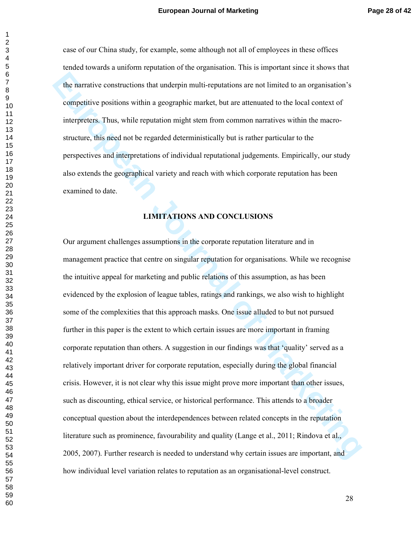case of our China study, for example, some although not all of employees in these offices tended towards a uniform reputation of the organisation. This is important since it shows that the narrative constructions that underpin multi-reputations are not limited to an organisation's competitive positions within a geographic market, but are attenuated to the local context of interpreters. Thus, while reputation might stem from common narratives within the macrostructure, this need not be regarded deterministically but is rather particular to the perspectives and interpretations of individual reputational judgements. Empirically, our study also extends the geographical variety and reach with which corporate reputation has been examined to date.

#### **LIMITATIONS AND CONCLUSIONS**

The narrative constructions that underpin multi-reputations are not limited to an organisation's<br>
competitive positions within a geographic market, but are attenuated to the local context of<br>
interpreters. Thus, while repu Our argument challenges assumptions in the corporate reputation literature and in management practice that centre on singular reputation for organisations. While we recognise the intuitive appeal for marketing and public relations of this assumption, as has been evidenced by the explosion of league tables, ratings and rankings, we also wish to highlight some of the complexities that this approach masks. One issue alluded to but not pursued further in this paper is the extent to which certain issues are more important in framing corporate reputation than others. A suggestion in our findings was that 'quality' served as a relatively important driver for corporate reputation, especially during the global financial crisis. However, it is not clear why this issue might prove more important than other issues, such as discounting, ethical service, or historical performance. This attends to a broader conceptual question about the interdependences between related concepts in the reputation literature such as prominence, favourability and quality (Lange et al., 2011; Rindova et al., 2005, 2007). Further research is needed to understand why certain issues are important, and how individual level variation relates to reputation as an organisational-level construct.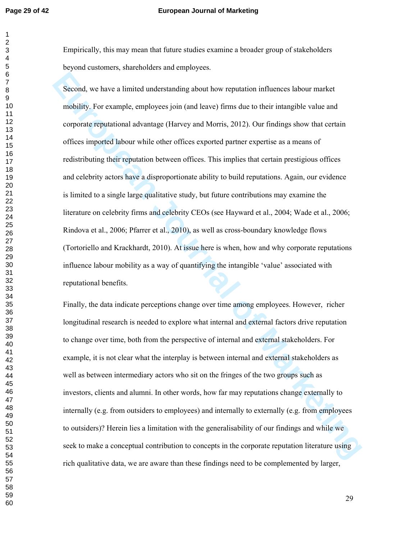#### **Page 29 of 42 European Journal of Marketing**

Empirically, this may mean that future studies examine a broader group of stakeholders beyond customers, shareholders and employees.

Second, we have a limited understanding about how reputation influences labour market<br>mobility. For example, employees join (and leave) firms due to their intangible value and<br>corporate reputational advantage (Harvey and M Second, we have a limited understanding about how reputation influences labour market mobility. For example, employees join (and leave) firms due to their intangible value and corporate reputational advantage (Harvey and Morris, 2012). Our findings show that certain offices imported labour while other offices exported partner expertise as a means of redistributing their reputation between offices. This implies that certain prestigious offices and celebrity actors have a disproportionate ability to build reputations. Again, our evidence is limited to a single large qualitative study, but future contributions may examine the literature on celebrity firms and celebrity CEOs (see Hayward et al., 2004; Wade et al., 2006; Rindova et al., 2006; Pfarrer et al., 2010), as well as cross-boundary knowledge flows (Tortoriello and Krackhardt, 2010). At issue here is when, how and why corporate reputations influence labour mobility as a way of quantifying the intangible 'value' associated with reputational benefits.

Finally, the data indicate perceptions change over time among employees. However, richer longitudinal research is needed to explore what internal and external factors drive reputation to change over time, both from the perspective of internal and external stakeholders. For example, it is not clear what the interplay is between internal and external stakeholders as well as between intermediary actors who sit on the fringes of the two groups such as investors, clients and alumni. In other words, how far may reputations change externally to internally (e.g. from outsiders to employees) and internally to externally (e.g. from employees to outsiders)? Herein lies a limitation with the generalisability of our findings and while we seek to make a conceptual contribution to concepts in the corporate reputation literature using rich qualitative data, we are aware than these findings need to be complemented by larger,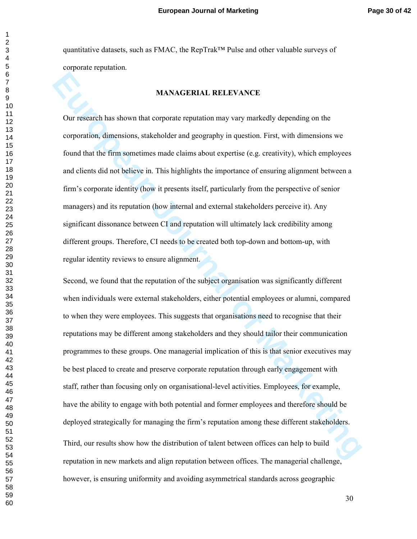quantitative datasets, such as FMAC, the RepTrak™ Pulse and other valuable surveys of corporate reputation.

#### **MANAGERIAL RELEVANCE**

Our research has shown that corporate reputation may vary markedly depending on the corporation, dimensions, stakeholder and geography in question. First, with dimensions we found that the firm sometimes made claims about expertise (e.g. creativity), which employees and clients did not believe in. This highlights the importance of ensuring alignment between a firm's corporate identity (how it presents itself, particularly from the perspective of senior managers) and its reputation (how internal and external stakeholders perceive it). Any significant dissonance between CI and reputation will ultimately lack credibility among different groups. Therefore, CI needs to be created both top-down and bottom-up, with regular identity reviews to ensure alignment.

**EURON MANAGERIAL RELEVANCE**<br> **EURON TEST ON THE CONSIDENT CONSIDERATIVE CONSIDERATIVE CONSIDENTIFY CONSIDENT**<br> **EURON OF THE CONSIDERATIVE CONSIDERATIVE CONSIDERATIVE CONSIDERATIVE CONSIDERATIVE CONSIDERATIVE CONSIDERATIV** Second, we found that the reputation of the subject organisation was significantly different when individuals were external stakeholders, either potential employees or alumni, compared to when they were employees. This suggests that organisations need to recognise that their reputations may be different among stakeholders and they should tailor their communication programmes to these groups. One managerial implication of this is that senior executives may be best placed to create and preserve corporate reputation through early engagement with staff, rather than focusing only on organisational-level activities. Employees, for example, have the ability to engage with both potential and former employees and therefore should be deployed strategically for managing the firm's reputation among these different stakeholders. Third, our results show how the distribution of talent between offices can help to build reputation in new markets and align reputation between offices. The managerial challenge, however, is ensuring uniformity and avoiding asymmetrical standards across geographic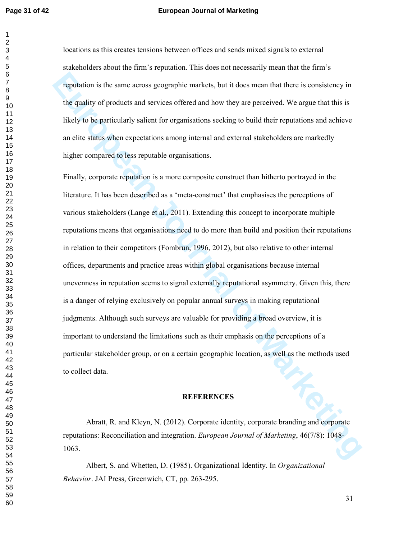#### **Page 31 of 42 European Journal of Marketing**

locations as this creates tensions between offices and sends mixed signals to external stakeholders about the firm's reputation. This does not necessarily mean that the firm's reputation is the same across geographic markets, but it does mean that there is consistency in the quality of products and services offered and how they are perceived. We argue that this is likely to be particularly salient for organisations seeking to build their reputations and achieve an elite status when expectations among internal and external stakeholders are markedly higher compared to less reputable organisations.

**Europhiation** is the same across geographic markets, but it does mean that there is consistency in<br>the quality of products and services offered and low they are perceived. We argue that this is<br>likely to be particularly s Finally, corporate reputation is a more composite construct than hitherto portrayed in the literature. It has been described as a 'meta-construct' that emphasises the perceptions of various stakeholders (Lange et al., 2011). Extending this concept to incorporate multiple reputations means that organisations need to do more than build and position their reputations in relation to their competitors (Fombrun, 1996, 2012), but also relative to other internal offices, departments and practice areas within global organisations because internal unevenness in reputation seems to signal externally reputational asymmetry. Given this, there is a danger of relying exclusively on popular annual surveys in making reputational judgments. Although such surveys are valuable for providing a broad overview, it is important to understand the limitations such as their emphasis on the perceptions of a particular stakeholder group, or on a certain geographic location, as well as the methods used to collect data.

#### **REFERENCES**

Abratt, R. and Kleyn, N. (2012). Corporate identity, corporate branding and corporate reputations: Reconciliation and integration. *European Journal of Marketing*, 46(7/8): 1048- 1063.

Albert, S. and Whetten, D. (1985). Organizational Identity. In *Organizational Behavior*. JAI Press, Greenwich, CT, pp. 263-295.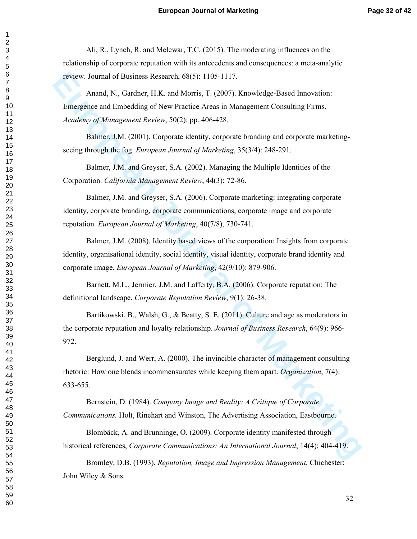Ali, R., Lynch, R. and Melewar, T.C. (2015). The moderating influences on the relationship of corporate reputation with its antecedents and consequences: a meta-analytic review. Journal of Business Research, 68(5): 1105-1117.

Anand, N., Gardner, H.K. and Morris, T. (2007). Knowledge-Based Innovation: Emergence and Embedding of New Practice Areas in Management Consulting Firms. *Academy of Management Review*, 50(2): pp. 406-428.

Balmer, J.M. (2001). Corporate identity, corporate branding and corporate marketingseeing through the fog. *European Journal of Marketing*, 35(3/4): 248-291.

Balmer, J.M. and Greyser, S.A. (2002). Managing the Multiple Identities of the Corporation. *California Management Review*, 44(3): 72-86.

Balmer, J.M. and Greyser, S.A. (2006). Corporate marketing: integrating corporate identity, corporate branding, corporate communications, corporate image and corporate reputation. *European Journal of Marketing*, 40(7/8), 730-741.

Balmer, J.M. (2008). Identity based views of the corporation: Insights from corporate identity, organisational identity, social identity, visual identity, corporate brand identity and corporate image. *European Journal of Marketing*, 42(9/10): 879-906.

Barnett, M.L., Jermier, J.M. and Lafferty, B.A. (2006). Corporate reputation: The definitional landscape. *Corporate Reputation Review*, 9(1): 26-38.

Bartikowski, B., Walsh, G., & Beatty, S. E. (2011). Culture and age as moderators in the corporate reputation and loyalty relationship. *Journal of Business Research*, 64(9): 966- 972.

**EUROPE MARKET (SECT 117.** Analytics, The Marketing, T. (2007). Knowledge-Based Innovation.<br>
Anand, N., Gaudenty, BIN: and Morris, T. (2007). Knowledge-Based Innovation.<br> *Eurodrey of Marketeria Review*; 50(2): pp. 406-428 Berglund, J. and Werr, A. (2000). The invincible character of management consulting rhetoric: How one blends incommensurates while keeping them apart. *Organization*, 7(4): 633-655.

Bernstein, D. (1984). *Company Image and Reality: A Critique of Corporate Communications.* Holt, Rinehart and Winston, The Advertising Association, Eastbourne.

Blombäck, A. and Brunninge, O. (2009). Corporate identity manifested through historical references, *Corporate Communications: An International Journal*, 14(4): 404-419.

Bromley, D.B. (1993). *Reputation, Image and Impression Management*. Chichester: John Wiley & Sons.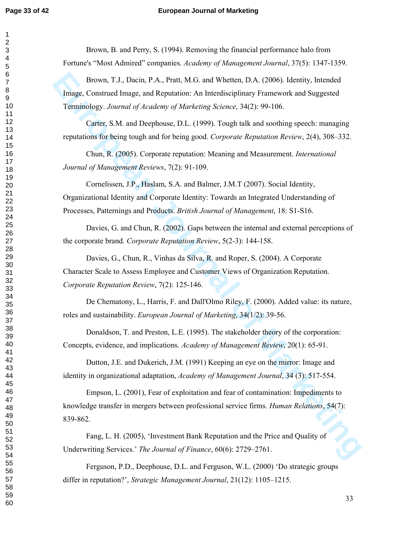#### **Page 33 of 42 European Journal of Marketing**

Brown, B. and Perry, S. (1994). Removing the financial performance halo from Fortune's "Most Admired" companies. *Academy of Management Journal*, 37(5): 1347-1359.

Brown, T.J., Dacin, P.A., Pratt, M.G. and Whetten, D.A. (2006). Identity, Intended Image, Construed Image, and Reputation: An Interdisciplinary Framework and Suggested Terminology. *Journal of Academy of Marketing Science*, 34(2): 99-106.

Carter, S.M. and Deephouse, D.L. (1999). Tough talk and soothing speech: managing reputations for being tough and for being good. *Corporate Reputation Review*, 2(4), 308–332.

Chun, R. (2005). Corporate reputation: Meaning and Measurement. *International Journal of Management Reviews*, 7(2): 91-109.

Cornelissen, J.P., Haslam, S.A. and Balmer, J.M.T (2007). Social Identity, Organizational Identity and Corporate Identity: Towards an Integrated Understanding of Processes, Patternings and Products. *British Journal of Management*, 18: S1-S16.

Davies, G. and Chun, R. (2002). Gaps between the internal and external perceptions of the corporate brand. *Corporate Reputation Review*, 5(2-3): 144-158.

Davies, G., Chun, R., Vinhas da Silva, R. and Roper, S. (2004). A Corporate Character Scale to Assess Employee and Customer Views of Organization Reputation. *Corporate Reputation Review*, 7(2): 125-146.

De Chernatony, L., Harris, F. and Dall'Olmo Riley, F. (2000). Added value: its nature, roles and sustainability. *European Journal of Marketing*, 34(1/2): 39-56.

Donaldson, T. and Preston, L.E. (1995). The stakeholder theory of the corporation: Concepts, evidence, and implications. *Academy of Management Review*, 20(1): 65-91.

Dutton, J.E. and Dukerich, J.M. (1991) Keeping an eye on the mirror: Image and identity in organizational adaptation, *Academy of Management Journal*, 34 (3): 517-554.

Brown, T.J., Dascin, P.A., Pratt, M.G. and Whetten, D.A. (2006). Identity, Intended<br>Image, Construed Image, and Reputation. An Interdisciplinary Framework and Suggested<br>Terminology. Journal of Academy of Marketing Scenece, Empson, L. (2001), Fear of exploitation and fear of contamination: Impediments to knowledge transfer in mergers between professional service firms. *Human Relations*, 54(7): 839-862.

Fang, L. H. (2005), 'Investment Bank Reputation and the Price and Quality of Underwriting Services.' *The Journal of Finance*, 60(6): 2729–2761.

Ferguson, P.D., Deephouse, D.L. and Ferguson, W.L. (2000) 'Do strategic groups differ in reputation?', *Strategic Management Journal*, 21(12): 1105–1215.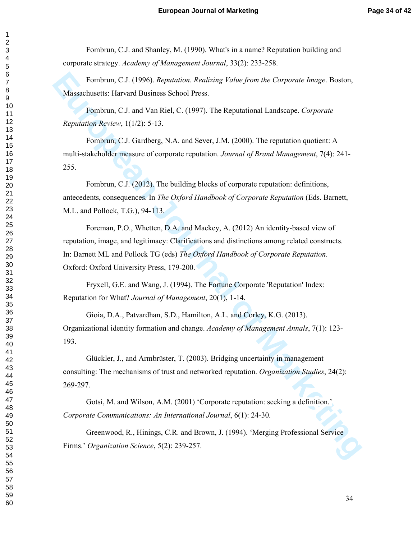Fombrun, C.J. and Shanley, M. (1990). What's in a name? Reputation building and corporate strategy. *Academy of Management Journal*, 33(2): 233-258.

Fombrun, C.J. (1996). *Reputation. Realizing Value from the Corporate Image*. Boston, Massachusetts: Harvard Business School Press.

Fombrun, C.J. and Van Riel, C. (1997). The Reputational Landscape. *Corporate Reputation Review*, 1(1/2): 5-13.

Fombrun, C.J. Gardberg, N.A. and Sever, J.M. (2000). The reputation quotient: A multi-stakeholder measure of corporate reputation. *Journal of Brand Management*, 7(4): 241- 255.

Fombrun, C.J. (2012). The building blocks of corporate reputation: definitions, antecedents, consequences. In *The Oxford Handbook of Corporate Reputation* (Eds. Barnett, M.L. and Pollock, T.G.), 94-113.

Fombrun, C.J. (1996). *Reputation*. *Realizing Value from the Corporate Image*. Boston,<br>
Massachusetts: Harvard Business School Press.<br> **European Journal 1**, and Van Kiel, C. (1997). The Reputational 1 and<br>scape. *Corporat* Foreman, P.O., Whetten, D.A. and Mackey, A. (2012) An identity-based view of reputation, image, and legitimacy: Clarifications and distinctions among related constructs. In: Barnett ML and Pollock TG (eds) *The Oxford Handbook of Corporate Reputation*. Oxford: Oxford University Press, 179-200.

Fryxell, G.E. and Wang, J. (1994). The Fortune Corporate 'Reputation' Index: Reputation for What? *Journal of Management*, 20(1), 1-14.

Gioia, D.A., Patvardhan, S.D., Hamilton, A.L. and Corley, K.G. (2013). Organizational identity formation and change. *Academy of Management Annals*, 7(1): 123- 193.

Glückler, J., and Armbrüster, T. (2003). Bridging uncertainty in management consulting: The mechanisms of trust and networked reputation. *Organization Studies*, 24(2): 269-297.

Gotsi, M. and Wilson, A.M. (2001) 'Corporate reputation: seeking a definition.' *Corporate Communications: An International Journal*, 6(1): 24-30.

Greenwood, R., Hinings, C.R. and Brown, J. (1994). 'Merging Professional Service Firms.' *Organization Science*, 5(2): 239-257.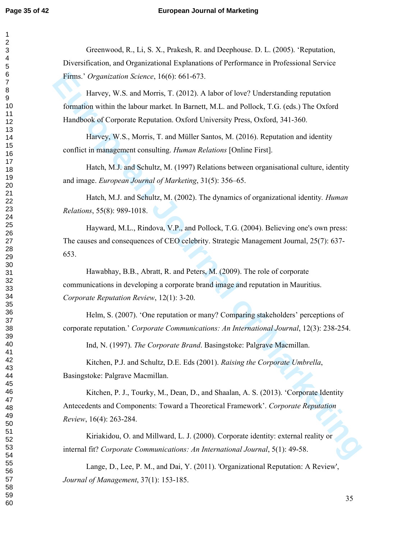#### **Page 35 of 42 European Journal of Marketing**

Greenwood, R., Li, S. X., Prakesh, R. and Deephouse. D. L. (2005). 'Reputation, Diversification, and Organizational Explanations of Performance in Professional Service Firms.' *Organization Science*, 16(6): 661-673.

Harvey, W.S. and Morris, T. (2012). A labor of love? Understanding reputation formation within the labour market. In Barnett, M.L. and Pollock, T.G. (eds.) The Oxford Handbook of Corporate Reputation. Oxford University Press, Oxford, 341-360.

Harvey, W.S., Morris, T. and Müller Santos, M. (2016). Reputation and identity conflict in management consulting. *Human Relations* [Online First].

Hatch, M.J. and Schultz, M. (1997) Relations between organisational culture, identity and image. *European Journal of Marketing*, 31(5): 356–65.

Hatch, M.J. and Schultz, M. (2002). The dynamics of organizational identity*. Human Relations*, 55(8): 989-1018.

Hayward, M.L., Rindova, V.P., and Pollock, T.G. (2004). Believing one's own press: The causes and consequences of CEO celebrity. Strategic Management Journal, 25(7): 637- 653.

Hawabhay, B.B., Abratt, R. and Peters, M. (2009). The role of corporate communications in developing a corporate brand image and reputation in Mauritius. *Corporate Reputation Review*, 12(1): 3-20.

Helm, S. (2007). 'One reputation or many? Comparing stakeholders' perceptions of corporate reputation.' *Corporate Communications: An International Journal*, 12(3): 238-254.

Ind, N. (1997). *The Corporate Brand*. Basingstoke: Palgrave Macmillan.

Kitchen, P.J. and Schultz, D.E. Eds (2001). *Raising the Corporate Umbrella*, Basingstoke: Palgrave Macmillan.

Films.' Organization Science, 16(6). 661-673.<br>
I Ilarvey, W.S. and Mortis, T. (2012). A labor of love? Understanding reputation<br>
Itanwish within the labour market. In Barcott, M.L. and Pollock, T.G. (eds.) The Oxford<br>
Itan Kitchen, P. J., Tourky, M., Dean, D., and Shaalan, A. S. (2013). 'Corporate Identity Antecedents and Components: Toward a Theoretical Framework'. *Corporate Reputation Review*, 16(4): 263-284.

Kiriakidou, O. and Millward, L. J. (2000). Corporate identity: external reality or internal fit? *Corporate Communications: An International Journal*, 5(1): 49-58.

Lange, D., Lee, P. M., and Dai, Y. (2011). 'Organizational Reputation: A Review', *Journal of Management*, 37(1): 153-185.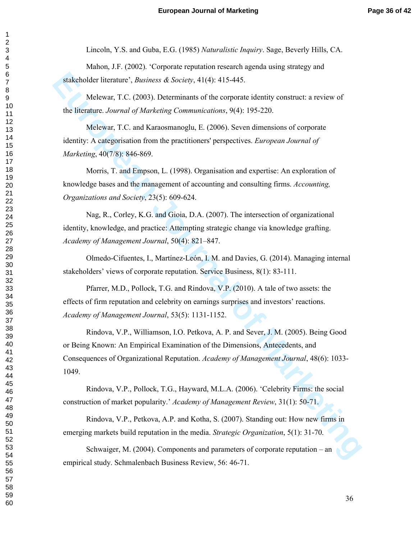Lincoln, Y.S. and Guba, E.G. (1985) *Naturalistic Inquiry*. Sage, Beverly Hills, CA.

Mahon, J.F. (2002). 'Corporate reputation research agenda using strategy and stakeholder literature', *Business & Society*, 41(4): 415-445.

Melewar, T.C. (2003). Determinants of the corporate identity construct: a review of the literature. *Journal of Marketing Communications*, 9(4): 195-220.

Melewar, T.C. and Karaosmanoglu, E. (2006). Seven dimensions of corporate identity: A categorisation from the practitioners' perspectives. *European Journal of Marketing*, 40(7/8): 846-869.

Morris, T. and Empson, L. (1998). Organisation and expertise: An exploration of knowledge bases and the management of accounting and consulting firms. *Accounting, Organizations and Society*, 23(5): 609-624.

Nag, R., Corley, K.G. and Gioia, D.A. (2007). The intersection of organizational identity, knowledge, and practice: Attempting strategic change via knowledge grafting. *Academy of Management Journal*, 50(4): 821–847.

Olmedo-Cifuentes, I., Martínez-León, I. M. and Davies, G. (2014). Managing internal stakeholders' views of corporate reputation. Service Business, 8(1): 83-111.

Pfarrer, M.D., Pollock, T.G. and Rindova, V.P. (2010). A tale of two assets: the effects of firm reputation and celebrity on earnings surprises and investors' reactions. *Academy of Management Journal*, 53(5): 1131-1152.

stakeholder literature', *Business & Society*, 41(4): 415-445.<br>
Melewar, T.C. (2003). Determinants of the corporate identity construct: a review of<br>
the literature. *Journal of Marketing Communications*, 9(4): 195-220.<br>
Me Rindova, V.P., Williamson, I.O. Petkova, A. P. and Sever, J. M. (2005). Being Good or Being Known: An Empirical Examination of the Dimensions, Antecedents, and Consequences of Organizational Reputation. *Academy of Management Journal*, 48(6): 1033- 1049.

Rindova, V.P., Pollock, T.G., Hayward, M.L.A. (2006). 'Celebrity Firms: the social construction of market popularity.' *Academy of Management Review*, 31(1): 50-71.

Rindova, V.P., Petkova, A.P. and Kotha, S. (2007). Standing out: How new firms in emerging markets build reputation in the media. *Strategic Organization*, 5(1): 31-70.

Schwaiger, M. (2004). Components and parameters of corporate reputation – an empirical study. Schmalenbach Business Review, 56: 46-71.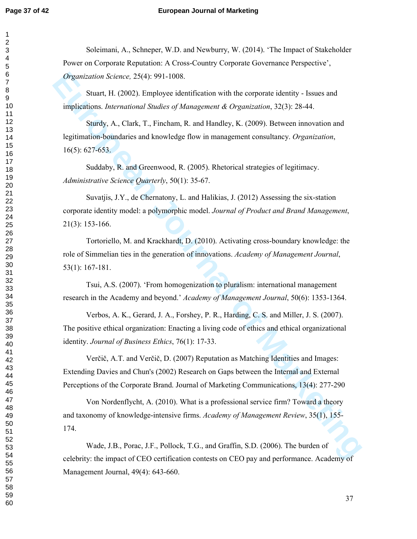#### **Page 37 of 42 European Journal of Marketing**

Soleimani, A., Schneper, W.D. and Newburry, W. (2014). 'The Impact of Stakeholder Power on Corporate Reputation: A Cross-Country Corporate Governance Perspective', *Organization Science,* 25(4): 991-1008.

Stuart, H. (2002). Employee identification with the corporate identity - Issues and implications. *International Studies of Management & Organization*, 32(3): 28-44.

Sturdy, A., Clark, T., Fincham, R. and Handley, K. (2009). Between innovation and legitimation-boundaries and knowledge flow in management consultancy. *Organization*, 16(5): 627-653.

Suddaby, R. and Greenwood, R. (2005). Rhetorical strategies of legitimacy. *Administrative Science Quarterly*, 50(1): 35-67.

*Organization Science,* 25(4), 991-1008.<br>
Stuart, II. (2002). Employee identification with the corporate identity - Issues and<br>
Implications. *Moreontoonal Stuaties of Management & Organization*, 32(3). 28-44.<br>
Study, A., Suvatjis, J.Y., de Chernatony, L. and Halikias, J. (2012) Assessing the six-station corporate identity model: a polymorphic model. *Journal of Product and Brand Management*, 21(3): 153-166.

Tortoriello, M. and Krackhardt, D. (2010). Activating cross-boundary knowledge: the role of Simmelian ties in the generation of innovations. *Academy of Management Journal*, 53(1): 167-181.

Tsui, A.S. (2007). 'From homogenization to pluralism: international management research in the Academy and beyond.' *Academy of Management Journal*, 50(6): 1353-1364.

Verbos, A. K., Gerard, J. A., Forshey, P. R., Harding, C. S. and Miller, J. S. (2007). The positive ethical organization: Enacting a living code of ethics and ethical organizational identity. *Journal of Business Ethics*, 76(1): 17-33.

Verčič, A.T. and Verčič, D. (2007) Reputation as Matching Identities and Images: Extending Davies and Chun's (2002) Research on Gaps between the Internal and External Perceptions of the Corporate Brand. Journal of Marketing Communications, 13(4): 277-290

Von Nordenflycht, A. (2010). What is a professional service firm? Toward a theory and taxonomy of knowledge-intensive firms. *Academy of Management Review*, 35(1), 155- 174.

Wade, J.B., Porac, J.F., Pollock, T.G., and Graffin, S.D. (2006). The burden of celebrity: the impact of CEO certification contests on CEO pay and performance. Academy of Management Journal, 49(4): 643-660.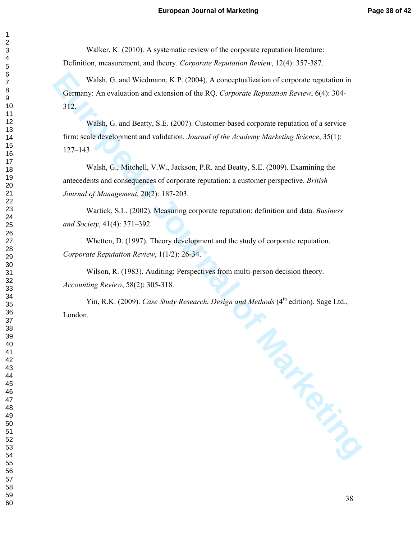Walker, K. (2010). A systematic review of the corporate reputation literature: Definition, measurement, and theory. *Corporate Reputation Review*, 12(4): 357-387.

Walsh, G. and Wiedmann, K.P. (2004). A conceptualization of corporate reputation in Germany: An evaluation and extension of the RQ. *Corporate Reputation Review*, 6(4): 304- 312.

Walsh, G. and Beatty, S.E. (2007). Customer-based corporate reputation of a service firm: scale development and validation. *Journal of the Academy Marketing Science*, 35(1): 127–143

Walsh, G., Mitchell, V.W., Jackson, P.R. and Beatty, S.E. (2009). Examining the antecedents and consequences of corporate reputation: a customer perspective. *British Journal of Management*, 20(2): 187-203.

Wartick, S.L. (2002). Measuring corporate reputation: definition and data. *Business and Society*, 41(4): 371–392.

Whetten, D. (1997). Theory development and the study of corporate reputation. *Corporate Reputation Review*, 1(1/2): 26-34.

Wilson, R. (1983). Auditing: Perspectives from multi-person decision theory. *Accounting Review*, 58(2): 305-318.

Yin, R.K. (2009). *Case Study Research. Design and Methods* (4<sup>th</sup> edition). Sage Ltd., London.

**PRAPATRITION**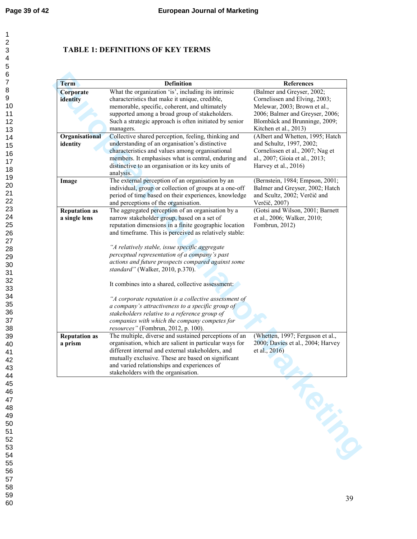# **TABLE 1: DEFINITIONS OF KEY TERMS**

| <b>Term</b>          | <b>Definition</b>                                      | <b>References</b>                 |
|----------------------|--------------------------------------------------------|-----------------------------------|
| Corporate            | What the organization 'is', including its intrinsic    | (Balmer and Greyser, 2002;        |
| identity             | characteristics that make it unique, credible,         | Cornelissen and Elving, 2003;     |
|                      | memorable, specific, coherent, and ultimately          | Melewar, 2003; Brown et al.,      |
|                      | supported among a broad group of stakeholders.         | 2006; Balmer and Greyser, 2006;   |
|                      | Such a strategic approach is often initiated by senior | Blombäck and Brunninge, 2009;     |
|                      | managers.                                              | Kitchen et al., 2013)             |
| Organisational       | Collective shared perception, feeling, thinking and    | (Albert and Whetten, 1995; Hatch  |
|                      | understanding of an organisation's distinctive         |                                   |
| identity             |                                                        | and Schultz, 1997, 2002;          |
|                      | characteristics and values among organisational        | Cornelissen et al., 2007; Nag et  |
|                      | members. It emphasises what is central, enduring and   | al., 2007; Gioia et al., 2013;    |
|                      | distinctive to an organisation or its key units of     | Harvey et al., 2016)              |
|                      | analysis.                                              |                                   |
| Image                | The external perception of an organisation by an       | (Bernstein, 1984; Empson, 2001;   |
|                      | individual, group or collection of groups at a one-off | Balmer and Greyser, 2002; Hatch   |
|                      | period of time based on their experiences, knowledge   | and Scultz, 2002; Verčič and      |
|                      | and perceptions of the organisation.                   | Verčič, 2007)                     |
| <b>Reputation as</b> | The aggregated perception of an organisation by a      | (Gotsi and Wilson, 2001; Barnett  |
| a single lens        | narrow stakeholder group, based on a set of            | et al., 2006; Walker, 2010;       |
|                      | reputation dimensions in a finite geographic location  | Fombrun, 2012)                    |
|                      | and timeframe. This is perceived as relatively stable: |                                   |
|                      |                                                        |                                   |
|                      | "A relatively stable, issue specific aggregate         |                                   |
|                      | perceptual representation of a company's past          |                                   |
|                      | actions and future prospects compared against some     |                                   |
|                      |                                                        |                                   |
|                      | standard" (Walker, 2010, p.370).                       |                                   |
|                      | It combines into a shared, collective assessment:      |                                   |
|                      | "A corporate reputation is a collective assessment of  |                                   |
|                      | a company's attractiveness to a specific group of      |                                   |
|                      | stakeholders relative to a reference group of          |                                   |
|                      | companies with which the company competes for          |                                   |
|                      | resources" (Fombrun, 2012, p. 100).                    |                                   |
| <b>Reputation as</b> | The multiple, diverse and sustained perceptions of an  | (Whetten, 1997; Ferguson et al.,  |
| a prism              | organisation, which are salient in particular ways for | 2000; Davies et al., 2004; Harvey |
|                      |                                                        |                                   |
|                      | different internal and external stakeholders, and      | et al., 2016)                     |
|                      | mutually exclusive. These are based on significant     |                                   |
|                      | and varied relationships and experiences of            |                                   |
|                      | stakeholders with the organisation.                    |                                   |
|                      |                                                        |                                   |
|                      |                                                        |                                   |
|                      |                                                        |                                   |
|                      |                                                        |                                   |
|                      |                                                        |                                   |
|                      |                                                        |                                   |
|                      |                                                        |                                   |
|                      |                                                        |                                   |
|                      |                                                        |                                   |
|                      |                                                        |                                   |
|                      |                                                        |                                   |
|                      |                                                        |                                   |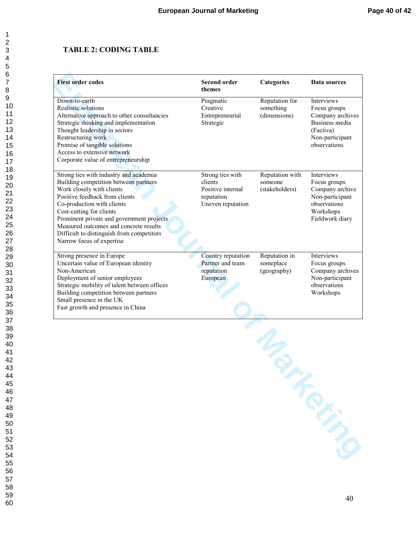# **TABLE 2: CODING TABLE**

| <b>First order codes</b>                                                                                                                                                                                                                                                                                                                                                  | <b>Second order</b><br>themes                                                       | <b>Categories</b>                            | Data sources                                                                                                            |
|---------------------------------------------------------------------------------------------------------------------------------------------------------------------------------------------------------------------------------------------------------------------------------------------------------------------------------------------------------------------------|-------------------------------------------------------------------------------------|----------------------------------------------|-------------------------------------------------------------------------------------------------------------------------|
| Down-to-earth<br>Realistic solutions<br>Alternative approach to other consultancies<br>Strategic thinking and implementation<br>Thought leadership in sectors<br>Restructuring work<br>Promise of tangible solutions<br>Access to extensive network<br>Corporate value of entrepreneurship                                                                                | Pragmatic<br>Creative<br>Entrepreneurial<br>Strategic                               | Reputation for<br>something<br>(dimensions)  | Interviews<br>Focus groups<br>Company archives<br>Business media<br>(Factiva)<br>Non-participant<br>observations        |
| Strong ties with industry and academia<br>Building competition between partners<br>Work closely with clients<br>Positive feedback from clients<br>Co-production with clients<br>Cost-cutting for clients<br>Prominent private and government projects<br>Measured outcomes and concrete results<br>Difficult to distinguish from competitors<br>Narrow focus of expertise | Strong ties with<br>clients<br>Positive internal<br>reputation<br>Uneven reputation | Reputation with<br>someone<br>(stakeholders) | <b>Interviews</b><br>Focus groups<br>Company archive<br>Non-participant<br>observations<br>Workshops<br>Fieldwork diary |
| Strong presence in Europe<br>Uncertain value of European identity<br>Non-American<br>Deployment of senior employees<br>Strategic mobility of talent between offices<br>Building competition between partners<br>Small presence in the UK<br>Fast growth and presence in China                                                                                             | Country reputation<br>Partner and team<br>reputation<br>European                    | Reputation in<br>someplace<br>(geography)    | <b>Interviews</b><br>Focus groups<br>Company archives<br>Non-participant<br>observations<br>Workshops                   |

**PAGE AND MARKING**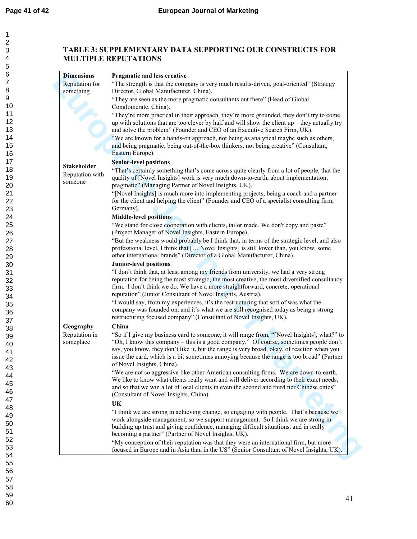# **TABLE 3: SUPPLEMENTARY DATA SUPPORTING OUR CONSTRUCTS FOR MULTIPLE REPUTATIONS**

| <b>Dimensions</b>                                | Pragmatic and less creative                                                                                                                                                                                                                                                                                                                                                                                    |
|--------------------------------------------------|----------------------------------------------------------------------------------------------------------------------------------------------------------------------------------------------------------------------------------------------------------------------------------------------------------------------------------------------------------------------------------------------------------------|
| Reputation for<br>something                      | "The strength is that the company is very much results-driven, goal-oriented" (Strategy<br>Director, Global Manufacturer, China).                                                                                                                                                                                                                                                                              |
|                                                  | "They are seen as the more pragmatic consultants out there" (Head of Global<br>Conglomerate, China).                                                                                                                                                                                                                                                                                                           |
|                                                  | "They're more practical in their approach, they're more grounded, they don't try to come<br>up with solutions that are too clever by half and will show the client up $-$ they actually try<br>and solve the problem" (Founder and CEO of an Executive Search Firm, UK).                                                                                                                                       |
|                                                  | "We are known for a hands-on approach, not being as analytical maybe such as others,<br>and being pragmatic, being out-of-the-box thinkers, not being creative" (Consultant,<br>Eastern Europe).                                                                                                                                                                                                               |
| <b>Stakeholder</b><br>Reputation with<br>someone | <b>Senior-level positions</b><br>"That's certainly something that's come across quite clearly from a lot of people, that the<br>quality of [Novel Insights] work is very much down-to-earth, about implementation,<br>pragmatic" (Managing Partner of Novel Insights, UK).                                                                                                                                     |
|                                                  | "[Novel Insights] is much more into implementing projects, being a coach and a partner<br>for the client and helping the client" (Founder and CEO of a specialist consulting firm,<br>Germany).                                                                                                                                                                                                                |
|                                                  | <b>Middle-level positions</b>                                                                                                                                                                                                                                                                                                                                                                                  |
|                                                  | "We stand for close cooperation with clients, tailor made. We don't copy and paste"<br>(Project Manager of Novel Insights, Eastern Europe).                                                                                                                                                                                                                                                                    |
|                                                  | "But the weakness would probably be I think that, in terms of the strategic level, and also<br>professional level, I think that [ Novel Insights] is still lower than, you know, some<br>other international brands" (Director of a Global Manufacturer, China).                                                                                                                                               |
|                                                  | <b>Junior-level positions</b><br>"I don't think that, at least among my friends from university, we had a very strong<br>reputation for being the most strategic, the most creative, the most diversified consultancy<br>firm. I don't think we do. We have a more straightforward, concrete, operational<br>reputation" (Junior Consultant of Novel Insights, Austria).                                       |
|                                                  | "I would say, from my experiences, it's the restructuring that sort of was what the<br>company was founded on, and it's what we are still recognised today as being a strong<br>restructuring focused company" (Consultant of Novel Insights, UK).                                                                                                                                                             |
| Geography                                        | China                                                                                                                                                                                                                                                                                                                                                                                                          |
| Reputation in<br>someplace                       | "So if I give my business card to someone, it will range from, "[Novel Insights], what?" to<br>"Oh, I know this company – this is a good company." Of course, sometimes people don't<br>say, you know, they don't like it, but the range is very broad, okay, of reaction when you<br>issue the card, which is a bit sometimes annoying because the range is too broad" (Partner<br>of Novel Insights, China). |
|                                                  | "We are not so aggressive like other American consulting firms. We are down-to-earth.<br>We like to know what clients really want and will deliver according to their exact needs,<br>and so that we win a lot of local clients in even the second and third tier Chinese cities"<br>(Consultant of Novel Insights, China).                                                                                    |
|                                                  | UK                                                                                                                                                                                                                                                                                                                                                                                                             |
|                                                  | "I think we are strong in achieving change, so engaging with people. That's because we<br>work alongside management, so we support management. So I think we are strong in<br>building up trust and giving confidence, managing difficult situations, and in really<br>becoming a partner" (Partner of Novel Insights, UK).                                                                                    |
|                                                  | "My conception of their reputation was that they were an international firm, but more<br>focused in Europe and in Asia than in the US" (Senior Consultant of Novel Insights, UK).                                                                                                                                                                                                                              |